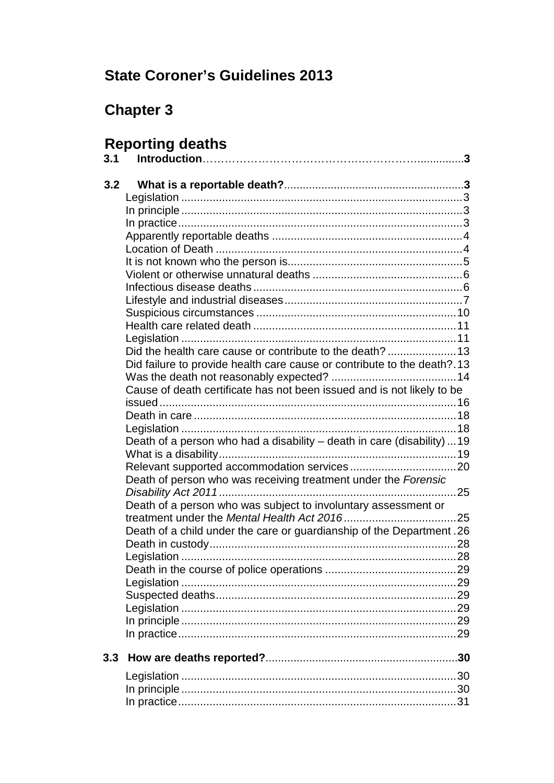# **State Coroner's Guidelines 2013**

# **Chapter 3**

# **Reporting deaths**

| 3.1 |                                                                         |  |
|-----|-------------------------------------------------------------------------|--|
| 3.2 |                                                                         |  |
|     |                                                                         |  |
|     |                                                                         |  |
|     |                                                                         |  |
|     |                                                                         |  |
|     |                                                                         |  |
|     |                                                                         |  |
|     |                                                                         |  |
|     |                                                                         |  |
|     |                                                                         |  |
|     |                                                                         |  |
|     |                                                                         |  |
|     |                                                                         |  |
|     | Did failure to provide health care cause or contribute to the death?.13 |  |
|     |                                                                         |  |
|     | Cause of death certificate has not been issued and is not likely to be  |  |
|     |                                                                         |  |
|     |                                                                         |  |
|     |                                                                         |  |
|     | Death of a person who had a disability - death in care (disability)  19 |  |
|     |                                                                         |  |
|     |                                                                         |  |
|     | Death of person who was receiving treatment under the Forensic          |  |
|     |                                                                         |  |
|     | Death of a person who was subject to involuntary assessment or          |  |
|     | Death of a child under the care or guardianship of the Department. 26   |  |
|     |                                                                         |  |
|     |                                                                         |  |
|     |                                                                         |  |
|     |                                                                         |  |
|     |                                                                         |  |
|     |                                                                         |  |
|     |                                                                         |  |
|     |                                                                         |  |
| 3.3 |                                                                         |  |
|     |                                                                         |  |
|     |                                                                         |  |
|     |                                                                         |  |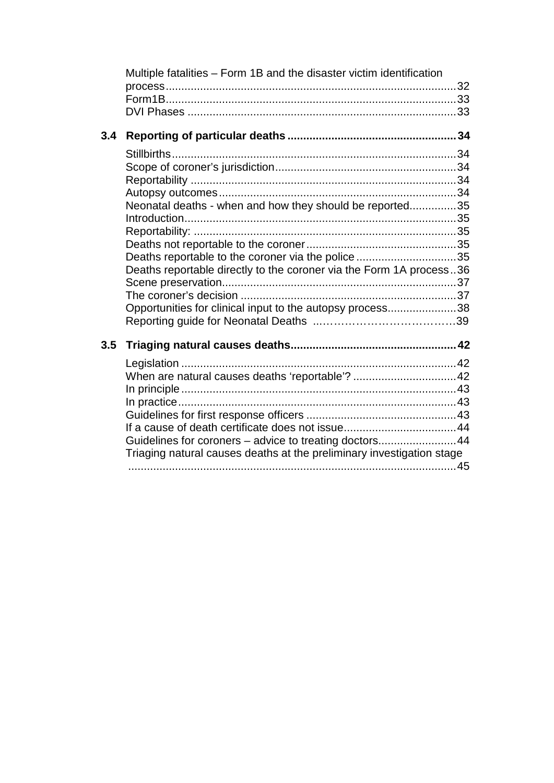|     | Multiple fatalities – Form 1B and the disaster victim identification  |  |
|-----|-----------------------------------------------------------------------|--|
| 3.4 |                                                                       |  |
|     |                                                                       |  |
|     |                                                                       |  |
|     |                                                                       |  |
|     | Neonatal deaths - when and how they should be reported35              |  |
|     |                                                                       |  |
|     |                                                                       |  |
|     |                                                                       |  |
|     | Deaths reportable to the coroner via the police 35                    |  |
|     | Deaths reportable directly to the coroner via the Form 1A process36   |  |
|     |                                                                       |  |
|     | Opportunities for clinical input to the autopsy process38             |  |
|     |                                                                       |  |
| 3.5 |                                                                       |  |
|     |                                                                       |  |
|     | When are natural causes deaths 'reportable'?  42                      |  |
|     |                                                                       |  |
|     |                                                                       |  |
|     |                                                                       |  |
|     |                                                                       |  |
|     | Guidelines for coroners - advice to treating doctors44                |  |
|     | Triaging natural causes deaths at the preliminary investigation stage |  |
|     |                                                                       |  |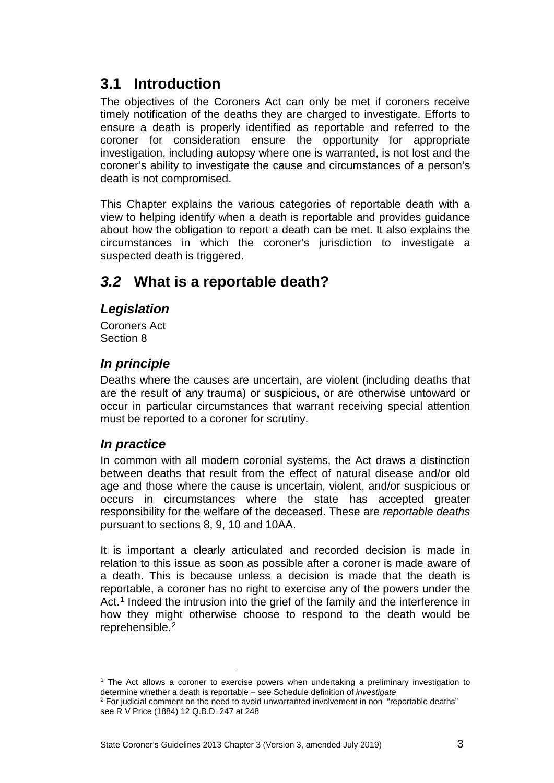# <span id="page-2-0"></span>**3.1 Introduction**

The obiectives of the Coroners Act can only be met if coroners receive timely notification of the deaths they are charged to investigate. Efforts to ensure a death is properly identified as reportable and referred to the coroner for consideration ensure the opportunity for appropriate investigation, including autopsy where one is warranted, is not lost and the coroner's ability to investigate the cause and circumstances of a person's death is not compromised.

This Chapter explains the various categories of reportable death with a view to helping identify when a death is reportable and provides guidance about how the obligation to report a death can be met. It also explains the circumstances in which the coroner's jurisdiction to investigate a suspected death is triggered.

# <span id="page-2-1"></span>*3.2* **What is a reportable death?**

### <span id="page-2-2"></span>*Legislation*

Coroners Act Section 8

### <span id="page-2-3"></span>*In principle*

Deaths where the causes are uncertain, are violent (including deaths that are the result of any trauma) or suspicious, or are otherwise untoward or occur in particular circumstances that warrant receiving special attention must be reported to a coroner for scrutiny.

### <span id="page-2-4"></span>*In practice*

In common with all modern coronial systems, the Act draws a distinction between deaths that result from the effect of natural disease and/or old age and those where the cause is uncertain, violent, and/or suspicious or occurs in circumstances where the state has accepted greater responsibility for the welfare of the deceased. These are *reportable deaths* pursuant to sections 8, 9, 10 and 10AA.

It is important a clearly articulated and recorded decision is made in relation to this issue as soon as possible after a coroner is made aware of a death. This is because unless a decision is made that the death is reportable, a coroner has no right to exercise any of the powers under the Act.<sup>[1](#page-2-5)</sup> Indeed the intrusion into the grief of the family and the interference in how they might otherwise choose to respond to the death would be reprehensible.<sup>[2](#page-2-6)</sup>

<span id="page-2-5"></span> $1$  The Act allows a coroner to exercise powers when undertaking a preliminary investigation to determine whether a death is reportable – see Schedule definition of *investigate* <u>.</u>

<span id="page-2-6"></span><sup>&</sup>lt;sup>2</sup> For judicial comment on the need to avoid unwarranted involvement in non "reportable deaths" see R V Price (1884) 12 Q.B.D. 247 at 248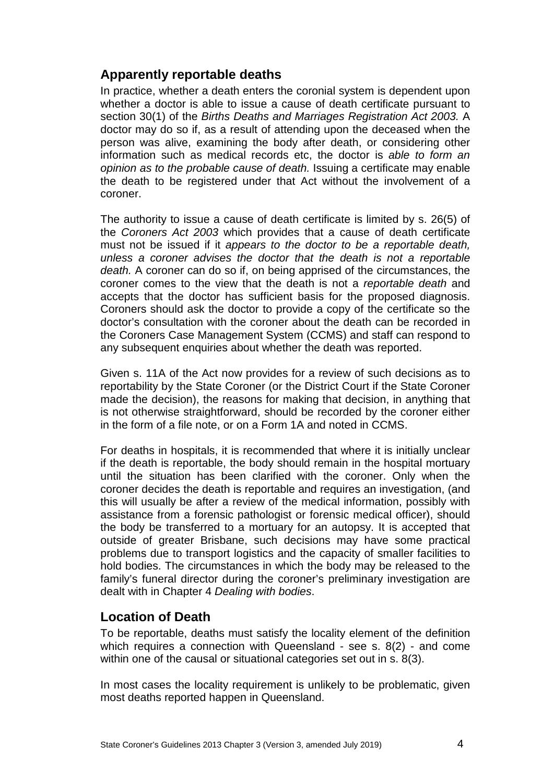### <span id="page-3-0"></span>**Apparently reportable deaths**

In practice, whether a death enters the coronial system is dependent upon whether a doctor is able to issue a cause of death certificate pursuant to section 30(1) of the *Births Deaths and Marriages Registration Act 2003.* A doctor may do so if, as a result of attending upon the deceased when the person was alive, examining the body after death, or considering other information such as medical records etc, the doctor is *able to form an opinion as to the probable cause of death.* Issuing a certificate may enable the death to be registered under that Act without the involvement of a coroner.

The authority to issue a cause of death certificate is limited by s. 26(5) of the *Coroners Act 2003* which provides that a cause of death certificate must not be issued if it *appears to the doctor to be a reportable death, unless a coroner advises the doctor that the death is not a reportable death.* A coroner can do so if, on being apprised of the circumstances, the coroner comes to the view that the death is not a *reportable death* and accepts that the doctor has sufficient basis for the proposed diagnosis. Coroners should ask the doctor to provide a copy of the certificate so the doctor's consultation with the coroner about the death can be recorded in the Coroners Case Management System (CCMS) and staff can respond to any subsequent enquiries about whether the death was reported.

Given s. 11A of the Act now provides for a review of such decisions as to reportability by the State Coroner (or the District Court if the State Coroner made the decision), the reasons for making that decision, in anything that is not otherwise straightforward, should be recorded by the coroner either in the form of a file note, or on a Form 1A and noted in CCMS.

For deaths in hospitals, it is recommended that where it is initially unclear if the death is reportable, the body should remain in the hospital mortuary until the situation has been clarified with the coroner. Only when the coroner decides the death is reportable and requires an investigation, (and this will usually be after a review of the medical information, possibly with assistance from a forensic pathologist or forensic medical officer), should the body be transferred to a mortuary for an autopsy. It is accepted that outside of greater Brisbane, such decisions may have some practical problems due to transport logistics and the capacity of smaller facilities to hold bodies. The circumstances in which the body may be released to the family's funeral director during the coroner's preliminary investigation are dealt with in Chapter 4 *Dealing with bodies*.

### <span id="page-3-1"></span>**Location of Death**

To be reportable, deaths must satisfy the locality element of the definition which requires a connection with Queensland - see s. 8(2) - and come within one of the causal or situational categories set out in s. 8(3).

In most cases the locality requirement is unlikely to be problematic, given most deaths reported happen in Queensland.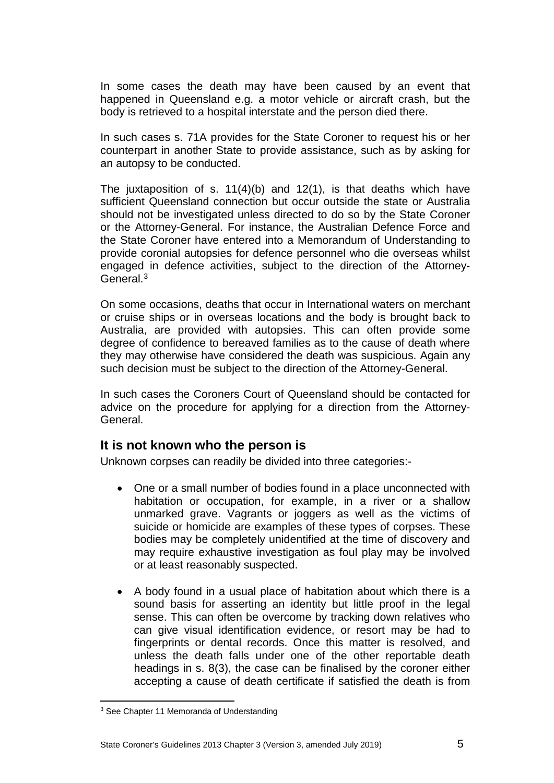In some cases the death may have been caused by an event that happened in Queensland e.g. a motor vehicle or aircraft crash, but the body is retrieved to a hospital interstate and the person died there.

In such cases s. 71A provides for the State Coroner to request his or her counterpart in another State to provide assistance, such as by asking for an autopsy to be conducted.

The juxtaposition of s. 11(4)(b) and 12(1), is that deaths which have sufficient Queensland connection but occur outside the state or Australia should not be investigated unless directed to do so by the State Coroner or the Attorney-General. For instance, the Australian Defence Force and the State Coroner have entered into a Memorandum of Understanding to provide coronial autopsies for defence personnel who die overseas whilst engaged in defence activities, subject to the direction of the Attorney-General.<sup>[3](#page-4-1)</sup>

On some occasions, deaths that occur in International waters on merchant or cruise ships or in overseas locations and the body is brought back to Australia, are provided with autopsies. This can often provide some degree of confidence to bereaved families as to the cause of death where they may otherwise have considered the death was suspicious. Again any such decision must be subject to the direction of the Attorney-General.

In such cases the Coroners Court of Queensland should be contacted for advice on the procedure for applying for a direction from the Attorney-General.

### <span id="page-4-0"></span>**It is not known who the person is**

Unknown corpses can readily be divided into three categories:-

- One or a small number of bodies found in a place unconnected with habitation or occupation, for example, in a river or a shallow unmarked grave. Vagrants or joggers as well as the victims of suicide or homicide are examples of these types of corpses. These bodies may be completely unidentified at the time of discovery and may require exhaustive investigation as foul play may be involved or at least reasonably suspected.
- A body found in a usual place of habitation about which there is a sound basis for asserting an identity but little proof in the legal sense. This can often be overcome by tracking down relatives who can give visual identification evidence, or resort may be had to fingerprints or dental records. Once this matter is resolved, and unless the death falls under one of the other reportable death headings in s. 8(3), the case can be finalised by the coroner either accepting a cause of death certificate if satisfied the death is from

<span id="page-4-1"></span><sup>&</sup>lt;sup>3</sup> See Chapter 11 Memoranda of Understanding <u>.</u>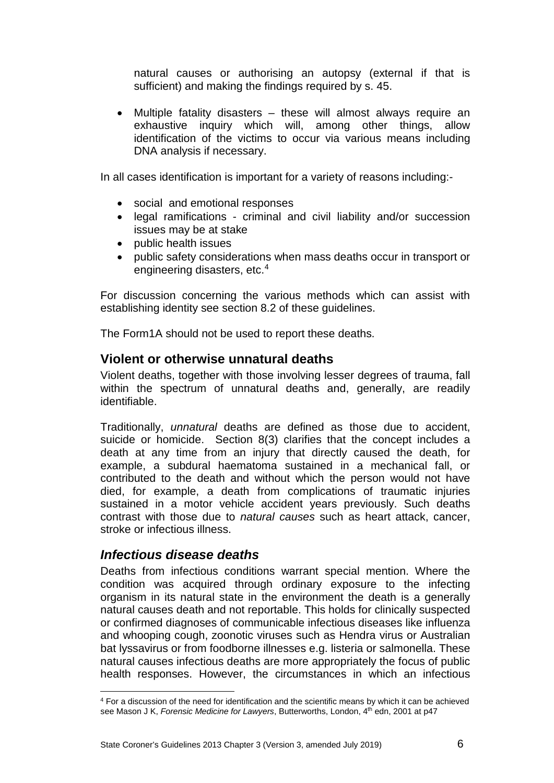natural causes or authorising an autopsy (external if that is sufficient) and making the findings required by s. 45.

• Multiple fatality disasters – these will almost always require an exhaustive inquiry which will, among other things, allow identification of the victims to occur via various means including DNA analysis if necessary.

In all cases identification is important for a variety of reasons including:-

- social and emotional responses
- legal ramifications criminal and civil liability and/or succession issues may be at stake
- public health issues
- public safety considerations when mass deaths occur in transport or engineering disasters, etc.[4](#page-5-2)

For discussion concerning the various methods which can assist with establishing identity see section 8.2 of these guidelines.

The Form1A should not be used to report these deaths.

### <span id="page-5-0"></span>**Violent or otherwise unnatural deaths**

Violent deaths, together with those involving lesser degrees of trauma, fall within the spectrum of unnatural deaths and, generally, are readily identifiable.

Traditionally, *unnatural* deaths are defined as those due to accident, suicide or homicide. Section 8(3) clarifies that the concept includes a death at any time from an injury that directly caused the death, for example, a subdural haematoma sustained in a mechanical fall, or contributed to the death and without which the person would not have died, for example, a death from complications of traumatic injuries sustained in a motor vehicle accident years previously. Such deaths contrast with those due to *natural causes* such as heart attack, cancer, stroke or infectious illness.

### <span id="page-5-1"></span>*Infectious disease deaths*

Deaths from infectious conditions warrant special mention. Where the condition was acquired through ordinary exposure to the infecting organism in its natural state in the environment the death is a generally natural causes death and not reportable. This holds for clinically suspected or confirmed diagnoses of communicable infectious diseases like influenza and whooping cough, zoonotic viruses such as Hendra virus or Australian bat lyssavirus or from foodborne illnesses e.g. listeria or salmonella. These natural causes infectious deaths are more appropriately the focus of public health responses. However, the circumstances in which an infectious

<span id="page-5-2"></span><sup>4</sup> For a discussion of the need for identification and the scientific means by which it can be achieved see Mason J K, *Forensic Medicine for Lawyers*, Butterworths, London, 4<sup>th</sup> edn, 2001 at p47 <u>.</u>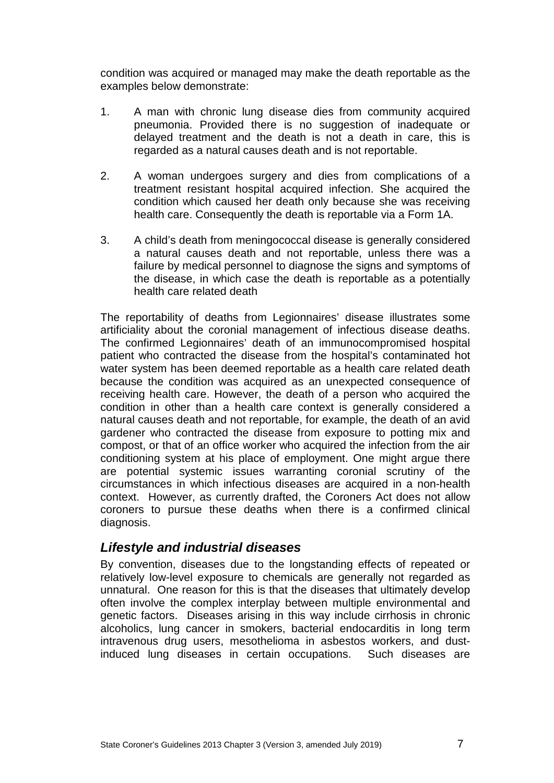condition was acquired or managed may make the death reportable as the examples below demonstrate:

- 1. A man with chronic lung disease dies from community acquired pneumonia. Provided there is no suggestion of inadequate or delayed treatment and the death is not a death in care, this is regarded as a natural causes death and is not reportable.
- 2. A woman undergoes surgery and dies from complications of a treatment resistant hospital acquired infection. She acquired the condition which caused her death only because she was receiving health care. Consequently the death is reportable via a Form 1A.
- 3. A child's death from meningococcal disease is generally considered a natural causes death and not reportable, unless there was a failure by medical personnel to diagnose the signs and symptoms of the disease, in which case the death is reportable as a potentially health care related death

The reportability of deaths from Legionnaires' disease illustrates some artificiality about the coronial management of infectious disease deaths. The confirmed Legionnaires' death of an immunocompromised hospital patient who contracted the disease from the hospital's contaminated hot water system has been deemed reportable as a health care related death because the condition was acquired as an unexpected consequence of receiving health care. However, the death of a person who acquired the condition in other than a health care context is generally considered a natural causes death and not reportable, for example, the death of an avid gardener who contracted the disease from exposure to potting mix and compost, or that of an office worker who acquired the infection from the air conditioning system at his place of employment. One might argue there are potential systemic issues warranting coronial scrutiny of the circumstances in which infectious diseases are acquired in a non-health context. However, as currently drafted, the Coroners Act does not allow coroners to pursue these deaths when there is a confirmed clinical diagnosis.

### <span id="page-6-0"></span>*Lifestyle and industrial diseases*

By convention, diseases due to the longstanding effects of repeated or relatively low-level exposure to chemicals are generally not regarded as unnatural. One reason for this is that the diseases that ultimately develop often involve the complex interplay between multiple environmental and genetic factors. Diseases arising in this way include cirrhosis in chronic alcoholics, lung cancer in smokers, bacterial endocarditis in long term intravenous drug users, mesothelioma in asbestos workers, and dustinduced lung diseases in certain occupations. Such diseases are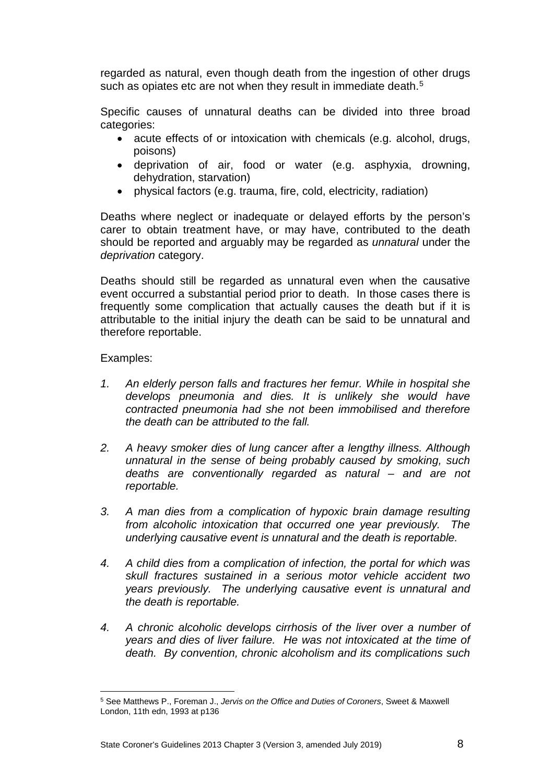regarded as natural, even though death from the ingestion of other drugs such as opiates etc are not when they result in immediate death.<sup>[5](#page-7-0)</sup>

Specific causes of unnatural deaths can be divided into three broad categories:

- acute effects of or intoxication with chemicals (e.g. alcohol, drugs, poisons)
- deprivation of air, food or water (e.g. asphyxia, drowning, dehydration, starvation)
- physical factors (e.g. trauma, fire, cold, electricity, radiation)

Deaths where neglect or inadequate or delayed efforts by the person's carer to obtain treatment have, or may have, contributed to the death should be reported and arguably may be regarded as *unnatural* under the *deprivation* category.

Deaths should still be regarded as unnatural even when the causative event occurred a substantial period prior to death. In those cases there is frequently some complication that actually causes the death but if it is attributable to the initial injury the death can be said to be unnatural and therefore reportable.

#### Examples:

- *1. An elderly person falls and fractures her femur. While in hospital she develops pneumonia and dies. It is unlikely she would have contracted pneumonia had she not been immobilised and therefore the death can be attributed to the fall.*
- *2. A heavy smoker dies of lung cancer after a lengthy illness. Although unnatural in the sense of being probably caused by smoking, such deaths are conventionally regarded as natural – and are not reportable.*
- *3. A man dies from a complication of hypoxic brain damage resulting from alcoholic intoxication that occurred one year previously. The underlying causative event is unnatural and the death is reportable.*
- *4. A child dies from a complication of infection, the portal for which was skull fractures sustained in a serious motor vehicle accident two years previously. The underlying causative event is unnatural and the death is reportable.*
- *4. A chronic alcoholic develops cirrhosis of the liver over a number of years and dies of liver failure. He was not intoxicated at the time of death. By convention, chronic alcoholism and its complications such*

<span id="page-7-0"></span><sup>5</sup> See Matthews P., Foreman J., *Jervis on the Office and Duties of Coroners*, Sweet & Maxwell London, 11th edn, 1993 at p136 <u>.</u>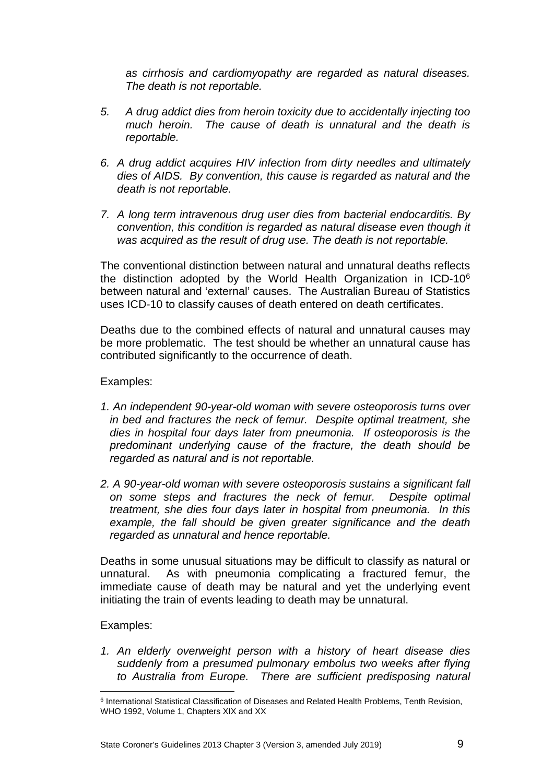*as cirrhosis and cardiomyopathy are regarded as natural diseases. The death is not reportable.*

- *5. A drug addict dies from heroin toxicity due to accidentally injecting too much heroin. The cause of death is unnatural and the death is reportable.*
- *6. A drug addict acquires HIV infection from dirty needles and ultimately dies of AIDS. By convention, this cause is regarded as natural and the death is not reportable.*
- *7. A long term intravenous drug user dies from bacterial endocarditis. By convention, this condition is regarded as natural disease even though it was acquired as the result of drug use. The death is not reportable.*

The conventional distinction between natural and unnatural deaths reflects the distinction adopted by the World Health Organization in ICD-10[6](#page-8-0) between natural and 'external' causes. The Australian Bureau of Statistics uses ICD-10 to classify causes of death entered on death certificates.

Deaths due to the combined effects of natural and unnatural causes may be more problematic. The test should be whether an unnatural cause has contributed significantly to the occurrence of death.

#### Examples:

- *1. An independent 90-year-old woman with severe osteoporosis turns over in bed and fractures the neck of femur. Despite optimal treatment, she dies in hospital four days later from pneumonia. If osteoporosis is the predominant underlying cause of the fracture, the death should be regarded as natural and is not reportable.*
- *2. A 90-year-old woman with severe osteoporosis sustains a significant fall on some steps and fractures the neck of femur. Despite optimal treatment, she dies four days later in hospital from pneumonia. In this example, the fall should be given greater significance and the death regarded as unnatural and hence reportable.*

Deaths in some unusual situations may be difficult to classify as natural or unnatural. As with pneumonia complicating a fractured femur, the immediate cause of death may be natural and yet the underlying event initiating the train of events leading to death may be unnatural.

#### Examples:

*1. An elderly overweight person with a history of heart disease dies suddenly from a presumed pulmonary embolus two weeks after flying to Australia from Europe. There are sufficient predisposing natural* 

<span id="page-8-0"></span><sup>&</sup>lt;sup>6</sup> International Statistical Classification of Diseases and Related Health Problems, Tenth Revision, WHO 1992, Volume 1, Chapters XIX and XX <u>.</u>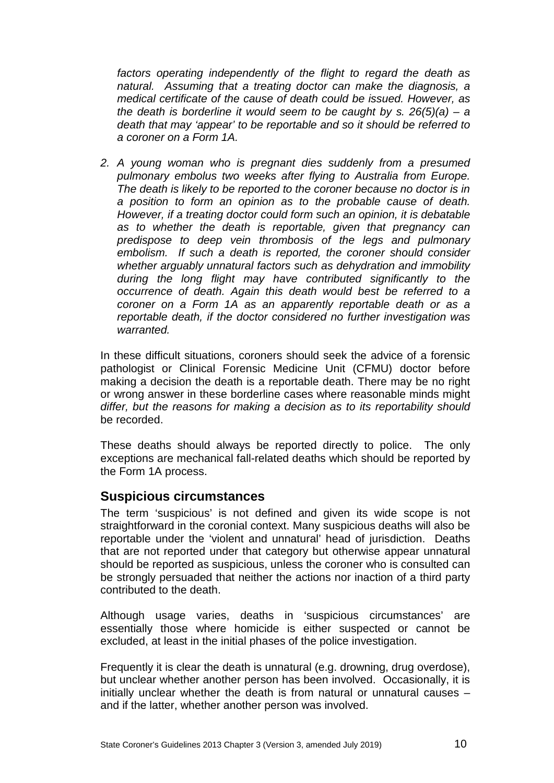*factors operating independently of the flight to regard the death as natural. Assuming that a treating doctor can make the diagnosis, a medical certificate of the cause of death could be issued. However, as the death is borderline it would seem to be caught by s. 26(5)(a) – a death that may 'appear' to be reportable and so it should be referred to a coroner on a Form 1A.*

*2. A young woman who is pregnant dies suddenly from a presumed pulmonary embolus two weeks after flying to Australia from Europe. The death is likely to be reported to the coroner because no doctor is in a position to form an opinion as to the probable cause of death. However, if a treating doctor could form such an opinion, it is debatable as to whether the death is reportable, given that pregnancy can predispose to deep vein thrombosis of the legs and pulmonary embolism. If such a death is reported, the coroner should consider whether arguably unnatural factors such as dehydration and immobility during the long flight may have contributed significantly to the occurrence of death. Again this death would best be referred to a coroner on a Form 1A as an apparently reportable death or as a reportable death, if the doctor considered no further investigation was warranted.*

In these difficult situations, coroners should seek the advice of a forensic pathologist or Clinical Forensic Medicine Unit (CFMU) doctor before making a decision the death is a reportable death. There may be no right or wrong answer in these borderline cases where reasonable minds might *differ, but the reasons for making a decision as to its reportability should* be recorded.

These deaths should always be reported directly to police. The only exceptions are mechanical fall-related deaths which should be reported by the Form 1A process.

### <span id="page-9-0"></span>**Suspicious circumstances**

The term 'suspicious' is not defined and given its wide scope is not straightforward in the coronial context. Many suspicious deaths will also be reportable under the 'violent and unnatural' head of jurisdiction. Deaths that are not reported under that category but otherwise appear unnatural should be reported as suspicious, unless the coroner who is consulted can be strongly persuaded that neither the actions nor inaction of a third party contributed to the death.

Although usage varies, deaths in 'suspicious circumstances' are essentially those where homicide is either suspected or cannot be excluded, at least in the initial phases of the police investigation.

Frequently it is clear the death is unnatural (e.g. drowning, drug overdose), but unclear whether another person has been involved. Occasionally, it is initially unclear whether the death is from natural or unnatural causes – and if the latter, whether another person was involved.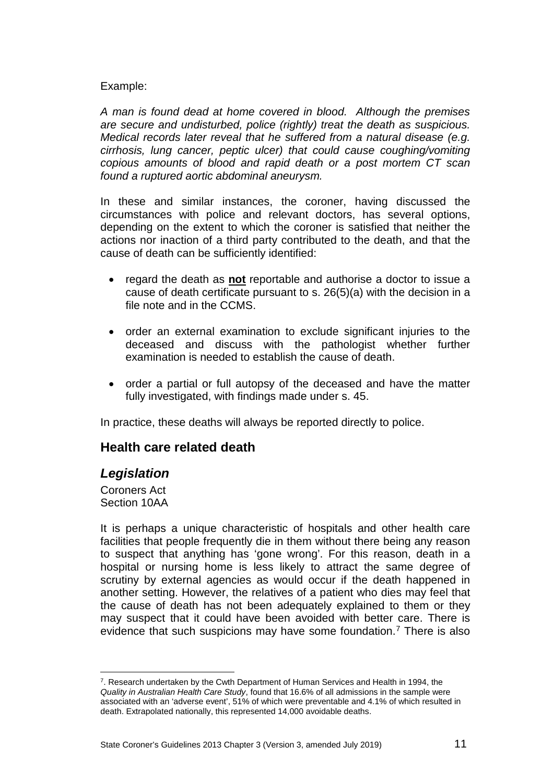#### Example:

*A man is found dead at home covered in blood. Although the premises are secure and undisturbed, police (rightly) treat the death as suspicious. Medical records later reveal that he suffered from a natural disease (e.g. cirrhosis, lung cancer, peptic ulcer) that could cause coughing/vomiting copious amounts of blood and rapid death or a post mortem CT scan found a ruptured aortic abdominal aneurysm.*

In these and similar instances, the coroner, having discussed the circumstances with police and relevant doctors, has several options, depending on the extent to which the coroner is satisfied that neither the actions nor inaction of a third party contributed to the death, and that the cause of death can be sufficiently identified:

- regard the death as **not** reportable and authorise a doctor to issue a cause of death certificate pursuant to s. 26(5)(a) with the decision in a file note and in the CCMS.
- order an external examination to exclude significant injuries to the deceased and discuss with the pathologist whether further examination is needed to establish the cause of death.
- order a partial or full autopsy of the deceased and have the matter fully investigated, with findings made under s. 45.

<span id="page-10-0"></span>In practice, these deaths will always be reported directly to police.

### **Health care related death**

### <span id="page-10-1"></span>*Legislation*

Coroners Act Section 10AA

<u>.</u>

It is perhaps a unique characteristic of hospitals and other health care facilities that people frequently die in them without there being any reason to suspect that anything has 'gone wrong'. For this reason, death in a hospital or nursing home is less likely to attract the same degree of scrutiny by external agencies as would occur if the death happened in another setting. However, the relatives of a patient who dies may feel that the cause of death has not been adequately explained to them or they may suspect that it could have been avoided with better care. There is evidence that such suspicions may have some foundation.<sup>[7](#page-10-2)</sup> There is also

<span id="page-10-2"></span><sup>7.</sup> Research undertaken by the Cwth Department of Human Services and Health in 1994, the *Quality in Australian Health Care Study*, found that 16.6% of all admissions in the sample were associated with an 'adverse event', 51% of which were preventable and 4.1% of which resulted in death. Extrapolated nationally, this represented 14,000 avoidable deaths.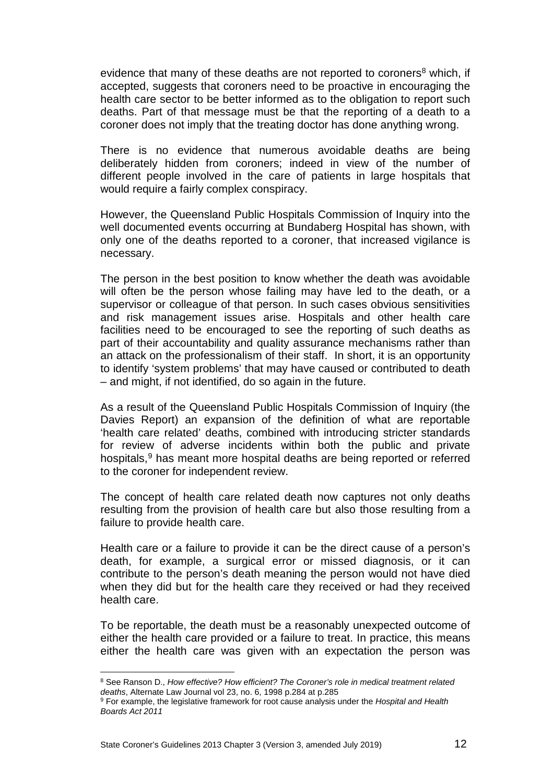evidence that many of these deaths are not reported to coroners<sup>8</sup> which, if accepted, suggests that coroners need to be proactive in encouraging the health care sector to be better informed as to the obligation to report such deaths. Part of that message must be that the reporting of a death to a coroner does not imply that the treating doctor has done anything wrong.

There is no evidence that numerous avoidable deaths are being deliberately hidden from coroners; indeed in view of the number of different people involved in the care of patients in large hospitals that would require a fairly complex conspiracy.

However, the Queensland Public Hospitals Commission of Inquiry into the well documented events occurring at Bundaberg Hospital has shown, with only one of the deaths reported to a coroner, that increased vigilance is necessary.

The person in the best position to know whether the death was avoidable will often be the person whose failing may have led to the death, or a supervisor or colleague of that person. In such cases obvious sensitivities and risk management issues arise. Hospitals and other health care facilities need to be encouraged to see the reporting of such deaths as part of their accountability and quality assurance mechanisms rather than an attack on the professionalism of their staff. In short, it is an opportunity to identify 'system problems' that may have caused or contributed to death – and might, if not identified, do so again in the future.

As a result of the Queensland Public Hospitals Commission of Inquiry (the Davies Report) an expansion of the definition of what are reportable 'health care related' deaths, combined with introducing stricter standards for review of adverse incidents within both the public and private hospitals, [9](#page-11-1) has meant more hospital deaths are being reported or referred to the coroner for independent review.

The concept of health care related death now captures not only deaths resulting from the provision of health care but also those resulting from a failure to provide health care.

Health care or a failure to provide it can be the direct cause of a person's death, for example, a surgical error or missed diagnosis, or it can contribute to the person's death meaning the person would not have died when they did but for the health care they received or had they received health care.

To be reportable, the death must be a reasonably unexpected outcome of either the health care provided or a failure to treat. In practice, this means either the health care was given with an expectation the person was

<u>.</u>

<span id="page-11-0"></span><sup>8</sup> See Ranson D., *How effective? How efficient? The Coroner's role in medical treatment related deaths*, Alternate Law Journal vol 23, no. 6, 1998 p.284 at p.285

<span id="page-11-1"></span><sup>9</sup> For example, the legislative framework for root cause analysis under the *Hospital and Health Boards Act 2011*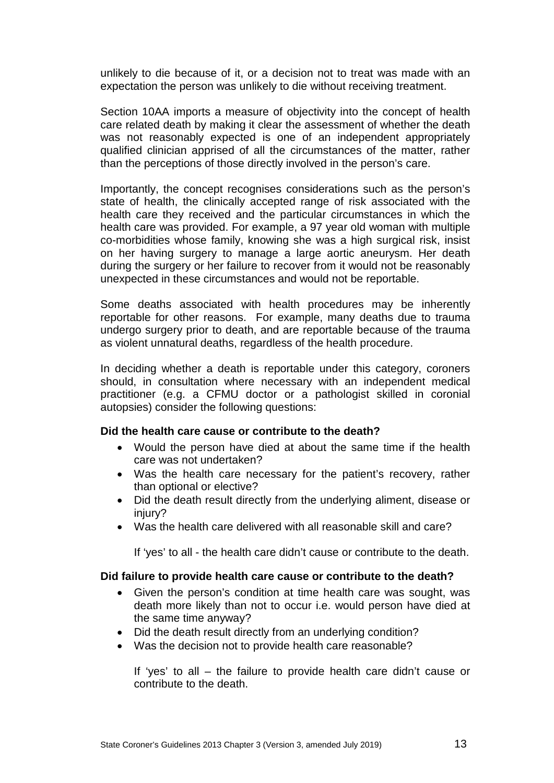unlikely to die because of it, or a decision not to treat was made with an expectation the person was unlikely to die without receiving treatment.

Section 10AA imports a measure of objectivity into the concept of health care related death by making it clear the assessment of whether the death was not reasonably expected is one of an independent appropriately qualified clinician apprised of all the circumstances of the matter, rather than the perceptions of those directly involved in the person's care.

Importantly, the concept recognises considerations such as the person's state of health, the clinically accepted range of risk associated with the health care they received and the particular circumstances in which the health care was provided. For example, a 97 year old woman with multiple co-morbidities whose family, knowing she was a high surgical risk, insist on her having surgery to manage a large aortic aneurysm. Her death during the surgery or her failure to recover from it would not be reasonably unexpected in these circumstances and would not be reportable.

Some deaths associated with health procedures may be inherently reportable for other reasons. For example, many deaths due to trauma undergo surgery prior to death, and are reportable because of the trauma as violent unnatural deaths, regardless of the health procedure.

In deciding whether a death is reportable under this category, coroners should, in consultation where necessary with an independent medical practitioner (e.g. a CFMU doctor or a pathologist skilled in coronial autopsies) consider the following questions:

#### <span id="page-12-0"></span>**Did the health care cause or contribute to the death?**

- Would the person have died at about the same time if the health care was not undertaken?
- Was the health care necessary for the patient's recovery, rather than optional or elective?
- Did the death result directly from the underlying aliment, disease or injury?
- Was the health care delivered with all reasonable skill and care?

If 'yes' to all - the health care didn't cause or contribute to the death.

#### <span id="page-12-1"></span>**Did failure to provide health care cause or contribute to the death?**

- Given the person's condition at time health care was sought, was death more likely than not to occur i.e. would person have died at the same time anyway?
- Did the death result directly from an underlying condition?
- Was the decision not to provide health care reasonable?

If 'yes' to all – the failure to provide health care didn't cause or contribute to the death.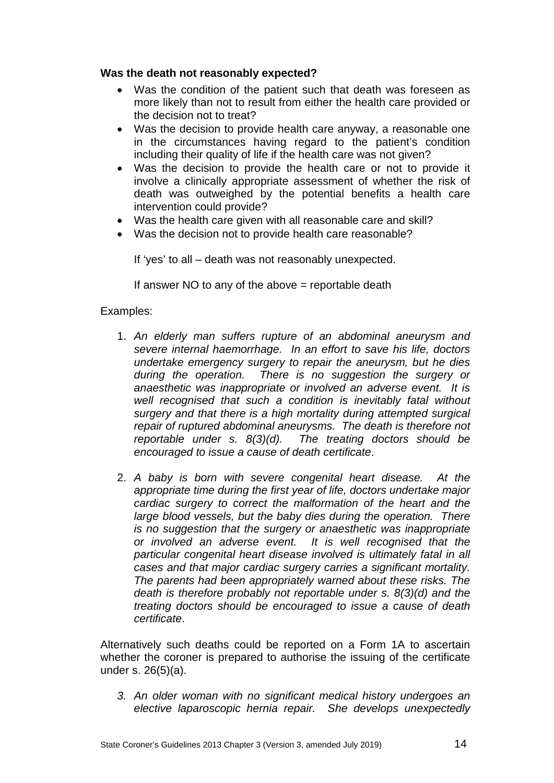#### <span id="page-13-0"></span>**Was the death not reasonably expected?**

- Was the condition of the patient such that death was foreseen as more likely than not to result from either the health care provided or the decision not to treat?
- Was the decision to provide health care anyway, a reasonable one in the circumstances having regard to the patient's condition including their quality of life if the health care was not given?
- Was the decision to provide the health care or not to provide it involve a clinically appropriate assessment of whether the risk of death was outweighed by the potential benefits a health care intervention could provide?
- Was the health care given with all reasonable care and skill?
- Was the decision not to provide health care reasonable?

If 'yes' to all – death was not reasonably unexpected.

If answer NO to any of the above  $=$  reportable death

#### Examples:

- 1. *An elderly man suffers rupture of an abdominal aneurysm and severe internal haemorrhage. In an effort to save his life, doctors undertake emergency surgery to repair the aneurysm, but he dies during the operation. There is no suggestion the surgery or anaesthetic was inappropriate or involved an adverse event. It is well recognised that such a condition is inevitably fatal without surgery and that there is a high mortality during attempted surgical repair of ruptured abdominal aneurysms. The death is therefore not reportable under s. 8(3)(d). The treating doctors should be encouraged to issue a cause of death certificate*.
- 2. *A baby is born with severe congenital heart disease. At the appropriate time during the first year of life, doctors undertake major cardiac surgery to correct the malformation of the heart and the large blood vessels, but the baby dies during the operation. There is no suggestion that the surgery or anaesthetic was inappropriate or involved an adverse event. It is well recognised that the particular congenital heart disease involved is ultimately fatal in all cases and that major cardiac surgery carries a significant mortality. The parents had been appropriately warned about these risks. The death is therefore probably not reportable under s. 8(3)(d) and the treating doctors should be encouraged to issue a cause of death certificate*.

Alternatively such deaths could be reported on a Form 1A to ascertain whether the coroner is prepared to authorise the issuing of the certificate under s. 26(5)(a).

*3. An older woman with no significant medical history undergoes an elective laparoscopic hernia repair. She develops unexpectedly*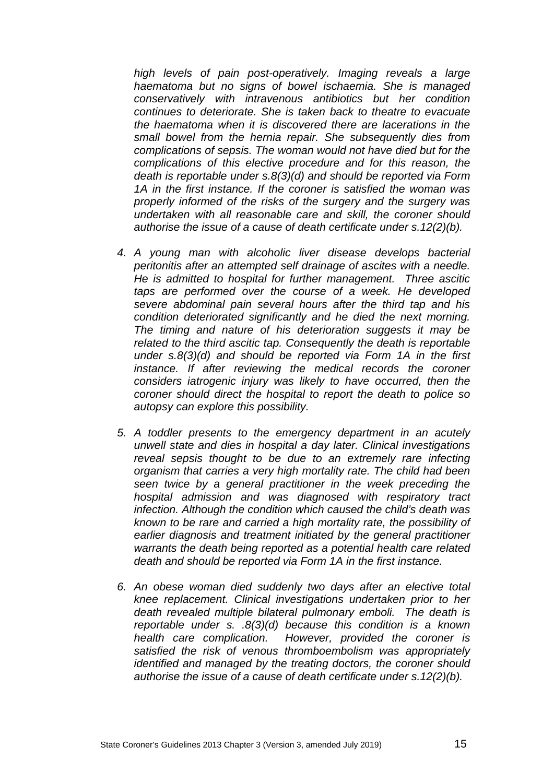*high levels of pain post-operatively. Imaging reveals a large haematoma but no signs of bowel ischaemia. She is managed conservatively with intravenous antibiotics but her condition continues to deteriorate. She is taken back to theatre to evacuate the haematoma when it is discovered there are lacerations in the small bowel from the hernia repair. She subsequently dies from complications of sepsis. The woman would not have died but for the complications of this elective procedure and for this reason, the death is reportable under s.8(3)(d) and should be reported via Form 1A in the first instance. If the coroner is satisfied the woman was properly informed of the risks of the surgery and the surgery was undertaken with all reasonable care and skill, the coroner should authorise the issue of a cause of death certificate under s.12(2)(b).*

- *4. A young man with alcoholic liver disease develops bacterial peritonitis after an attempted self drainage of ascites with a needle. He is admitted to hospital for further management. Three ascitic taps are performed over the course of a week. He developed severe abdominal pain several hours after the third tap and his condition deteriorated significantly and he died the next morning. The timing and nature of his deterioration suggests it may be related to the third ascitic tap. Consequently the death is reportable under s.8(3)(d) and should be reported via Form 1A in the first instance. If after reviewing the medical records the coroner considers iatrogenic injury was likely to have occurred, then the coroner should direct the hospital to report the death to police so autopsy can explore this possibility.*
- *5. A toddler presents to the emergency department in an acutely unwell state and dies in hospital a day later. Clinical investigations reveal sepsis thought to be due to an extremely rare infecting organism that carries a very high mortality rate. The child had been seen twice by a general practitioner in the week preceding the hospital admission and was diagnosed with respiratory tract infection. Although the condition which caused the child's death was known to be rare and carried a high mortality rate, the possibility of earlier diagnosis and treatment initiated by the general practitioner warrants the death being reported as a potential health care related death and should be reported via Form 1A in the first instance.*
- *6. An obese woman died suddenly two days after an elective total knee replacement. Clinical investigations undertaken prior to her death revealed multiple bilateral pulmonary emboli. The death is reportable under s. .8(3)(d) because this condition is a known health care complication. However, provided the coroner is satisfied the risk of venous thromboembolism was appropriately identified and managed by the treating doctors, the coroner should authorise the issue of a cause of death certificate under s.12(2)(b).*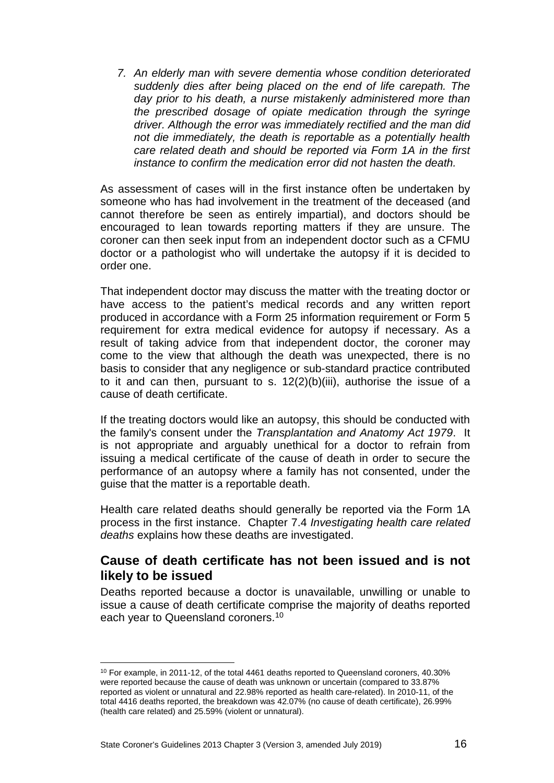*7. An elderly man with severe dementia whose condition deteriorated suddenly dies after being placed on the end of life carepath. The day prior to his death, a nurse mistakenly administered more than the prescribed dosage of opiate medication through the syringe driver. Although the error was immediately rectified and the man did not die immediately, the death is reportable as a potentially health care related death and should be reported via Form 1A in the first instance to confirm the medication error did not hasten the death.*

As assessment of cases will in the first instance often be undertaken by someone who has had involvement in the treatment of the deceased (and cannot therefore be seen as entirely impartial), and doctors should be encouraged to lean towards reporting matters if they are unsure. The coroner can then seek input from an independent doctor such as a CFMU doctor or a pathologist who will undertake the autopsy if it is decided to order one.

That independent doctor may discuss the matter with the treating doctor or have access to the patient's medical records and any written report produced in accordance with a Form 25 information requirement or Form 5 requirement for extra medical evidence for autopsy if necessary. As a result of taking advice from that independent doctor, the coroner may come to the view that although the death was unexpected, there is no basis to consider that any negligence or sub-standard practice contributed to it and can then, pursuant to s. 12(2)(b)(iii), authorise the issue of a cause of death certificate.

If the treating doctors would like an autopsy, this should be conducted with the family's consent under the *Transplantation and Anatomy Act 1979*. It is not appropriate and arguably unethical for a doctor to refrain from issuing a medical certificate of the cause of death in order to secure the performance of an autopsy where a family has not consented, under the guise that the matter is a reportable death.

Health care related deaths should generally be reported via the Form 1A process in the first instance. Chapter 7.4 *Investigating health care related deaths* explains how these deaths are investigated.

### <span id="page-15-0"></span>**Cause of death certificate has not been issued and is not likely to be issued**

Deaths reported because a doctor is unavailable, unwilling or unable to issue a cause of death certificate comprise the majority of deaths reported each year to Queensland coroners.<sup>[10](#page-15-1)</sup>

-

<span id="page-15-1"></span><sup>&</sup>lt;sup>10</sup> For example, in 2011-12, of the total 4461 deaths reported to Queensland coroners, 40.30% were reported because the cause of death was unknown or uncertain (compared to 33.87% reported as violent or unnatural and 22.98% reported as health care-related). In 2010-11, of the total 4416 deaths reported, the breakdown was 42.07% (no cause of death certificate), 26.99% (health care related) and 25.59% (violent or unnatural).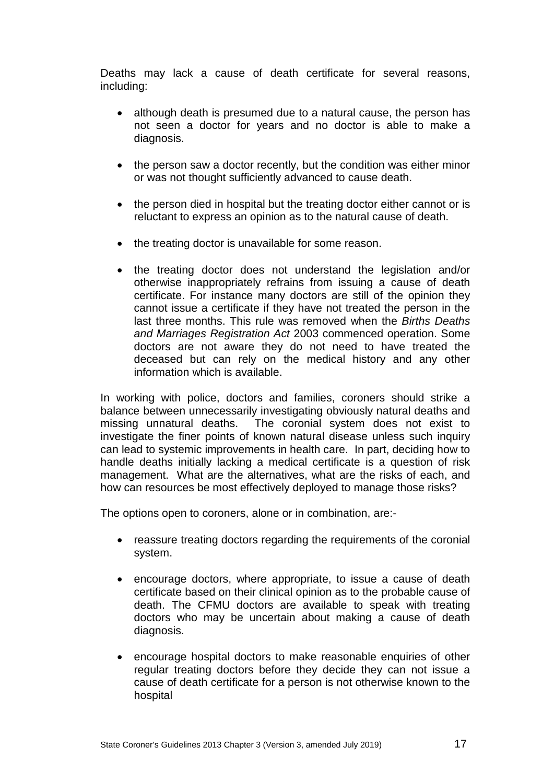Deaths may lack a cause of death certificate for several reasons, including:

- although death is presumed due to a natural cause, the person has not seen a doctor for years and no doctor is able to make a diagnosis.
- the person saw a doctor recently, but the condition was either minor or was not thought sufficiently advanced to cause death.
- the person died in hospital but the treating doctor either cannot or is reluctant to express an opinion as to the natural cause of death.
- the treating doctor is unavailable for some reason.
- the treating doctor does not understand the legislation and/or otherwise inappropriately refrains from issuing a cause of death certificate. For instance many doctors are still of the opinion they cannot issue a certificate if they have not treated the person in the last three months. This rule was removed when the *Births Deaths and Marriages Registration Act* 2003 commenced operation. Some doctors are not aware they do not need to have treated the deceased but can rely on the medical history and any other information which is available.

In working with police, doctors and families, coroners should strike a balance between unnecessarily investigating obviously natural deaths and missing unnatural deaths. The coronial system does not exist to investigate the finer points of known natural disease unless such inquiry can lead to systemic improvements in health care. In part, deciding how to handle deaths initially lacking a medical certificate is a question of risk management. What are the alternatives, what are the risks of each, and how can resources be most effectively deployed to manage those risks?

The options open to coroners, alone or in combination, are:-

- reassure treating doctors regarding the requirements of the coronial system.
- encourage doctors, where appropriate, to issue a cause of death certificate based on their clinical opinion as to the probable cause of death. The CFMU doctors are available to speak with treating doctors who may be uncertain about making a cause of death diagnosis.
- encourage hospital doctors to make reasonable enquiries of other regular treating doctors before they decide they can not issue a cause of death certificate for a person is not otherwise known to the hospital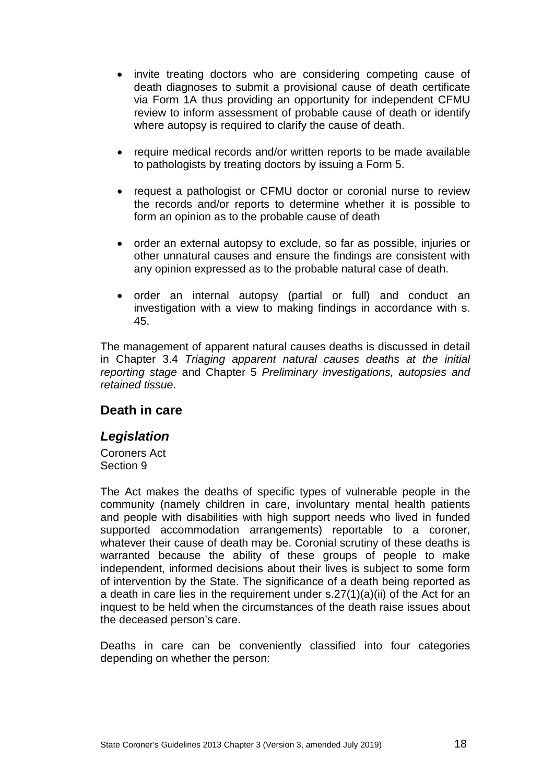- invite treating doctors who are considering competing cause of death diagnoses to submit a provisional cause of death certificate via Form 1A thus providing an opportunity for independent CFMU review to inform assessment of probable cause of death or identify where autopsy is required to clarify the cause of death.
- require medical records and/or written reports to be made available to pathologists by treating doctors by issuing a Form 5.
- request a pathologist or CFMU doctor or coronial nurse to review the records and/or reports to determine whether it is possible to form an opinion as to the probable cause of death
- order an external autopsy to exclude, so far as possible, injuries or other unnatural causes and ensure the findings are consistent with any opinion expressed as to the probable natural case of death.
- order an internal autopsy (partial or full) and conduct an investigation with a view to making findings in accordance with s. 45.

The management of apparent natural causes deaths is discussed in detail in Chapter 3.4 *Triaging apparent natural causes deaths at the initial reporting stage* and Chapter 5 *Preliminary investigations, autopsies and retained tissue*.

### <span id="page-17-0"></span>**Death in care**

### <span id="page-17-1"></span>*Legislation*

Coroners Act Section 9

The Act makes the deaths of specific types of vulnerable people in the community (namely children in care, involuntary mental health patients and people with disabilities with high support needs who lived in funded supported accommodation arrangements) reportable to a coroner, whatever their cause of death may be. Coronial scrutiny of these deaths is warranted because the ability of these groups of people to make independent, informed decisions about their lives is subject to some form of intervention by the State. The significance of a death being reported as a death in care lies in the requirement under s.27(1)(a)(ii) of the Act for an inquest to be held when the circumstances of the death raise issues about the deceased person's care.

Deaths in care can be conveniently classified into four categories depending on whether the person: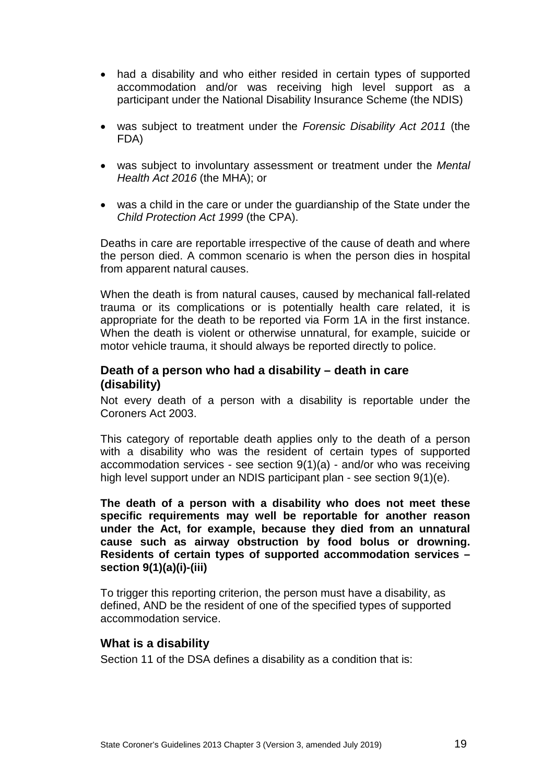- had a disability and who either resided in certain types of supported accommodation and/or was receiving high level support as a participant under the National Disability Insurance Scheme (the NDIS)
- was subject to treatment under the *Forensic Disability Act 2011* (the FDA)
- was subject to involuntary assessment or treatment under the *Mental Health Act 2016* (the MHA); or
- was a child in the care or under the guardianship of the State under the *Child Protection Act 1999* (the CPA).

Deaths in care are reportable irrespective of the cause of death and where the person died. A common scenario is when the person dies in hospital from apparent natural causes.

When the death is from natural causes, caused by mechanical fall-related trauma or its complications or is potentially health care related, it is appropriate for the death to be reported via Form 1A in the first instance. When the death is violent or otherwise unnatural, for example, suicide or motor vehicle trauma, it should always be reported directly to police.

#### <span id="page-18-0"></span>**Death of a person who had a disability – death in care (disability)**

Not every death of a person with a disability is reportable under the Coroners Act 2003.

This category of reportable death applies only to the death of a person with a disability who was the resident of certain types of supported accommodation services - see section 9(1)(a) - and/or who was receiving high level support under an NDIS participant plan - see section 9(1)(e).

**The death of a person with a disability who does not meet these specific requirements may well be reportable for another reason under the Act, for example, because they died from an unnatural cause such as airway obstruction by food bolus or drowning. Residents of certain types of supported accommodation services – section 9(1)(a)(i)-(iii)** 

To trigger this reporting criterion, the person must have a disability, as defined, AND be the resident of one of the specified types of supported accommodation service.

#### <span id="page-18-1"></span>**What is a disability**

Section 11 of the DSA defines a disability as a condition that is: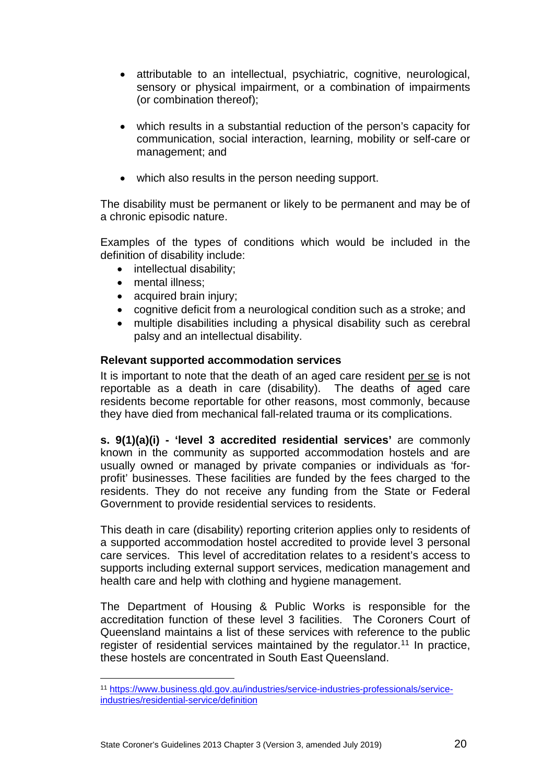- attributable to an intellectual, psychiatric, cognitive, neurological, sensory or physical impairment, or a combination of impairments (or combination thereof);
- which results in a substantial reduction of the person's capacity for communication, social interaction, learning, mobility or self-care or management; and
- which also results in the person needing support.

The disability must be permanent or likely to be permanent and may be of a chronic episodic nature.

Examples of the types of conditions which would be included in the definition of disability include:

- intellectual disability;
- mental illness;
- acquired brain injury;
- cognitive deficit from a neurological condition such as a stroke; and
- multiple disabilities including a physical disability such as cerebral palsy and an intellectual disability.

#### <span id="page-19-0"></span>**Relevant supported accommodation services**

It is important to note that the death of an aged care resident per se is not reportable as a death in care (disability). The deaths of aged care residents become reportable for other reasons, most commonly, because they have died from mechanical fall-related trauma or its complications.

**s. 9(1)(a)(i) - 'level 3 accredited residential services'** are commonly known in the community as supported accommodation hostels and are usually owned or managed by private companies or individuals as 'forprofit' businesses. These facilities are funded by the fees charged to the residents. They do not receive any funding from the State or Federal Government to provide residential services to residents.

This death in care (disability) reporting criterion applies only to residents of a supported accommodation hostel accredited to provide level 3 personal care services. This level of accreditation relates to a resident's access to supports including external support services, medication management and health care and help with clothing and hygiene management.

The Department of Housing & Public Works is responsible for the accreditation function of these level 3 facilities. The Coroners Court of Queensland maintains a list of these services with reference to the public register of residential services maintained by the regulator.<sup>[11](#page-19-1)</sup> In practice, these hostels are concentrated in South East Queensland.

<span id="page-19-1"></span><sup>11</sup> [https://www.business.qld.gov.au/industries/service-industries-professionals/service](https://www.business.qld.gov.au/industries/service-industries-professionals/service-industries/residential-service/definition)[industries/residential-service/definition](https://www.business.qld.gov.au/industries/service-industries-professionals/service-industries/residential-service/definition) -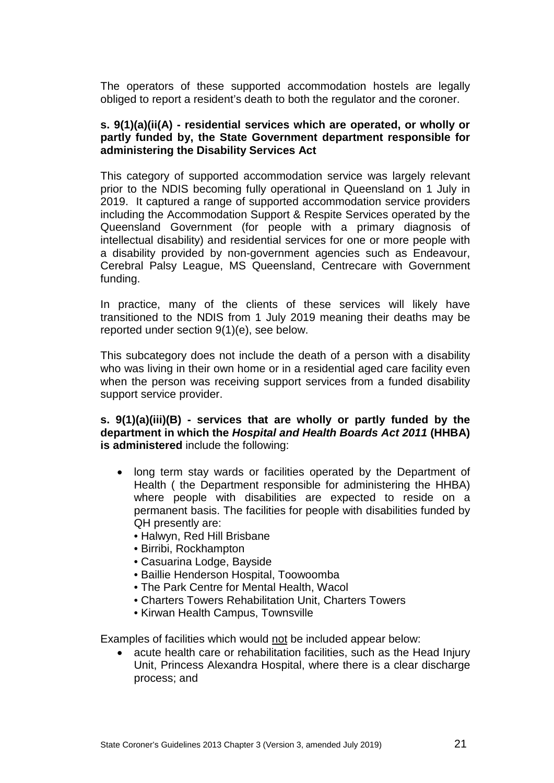The operators of these supported accommodation hostels are legally obliged to report a resident's death to both the regulator and the coroner.

#### **s. 9(1)(a)(ii(A) - residential services which are operated, or wholly or partly funded by, the State Government department responsible for administering the Disability Services Act**

This category of supported accommodation service was largely relevant prior to the NDIS becoming fully operational in Queensland on 1 July in 2019. It captured a range of supported accommodation service providers including the Accommodation Support & Respite Services operated by the Queensland Government (for people with a primary diagnosis of intellectual disability) and residential services for one or more people with a disability provided by non-government agencies such as Endeavour, Cerebral Palsy League, MS Queensland, Centrecare with Government funding.

In practice, many of the clients of these services will likely have transitioned to the NDIS from 1 July 2019 meaning their deaths may be reported under section 9(1)(e), see below.

This subcategory does not include the death of a person with a disability who was living in their own home or in a residential aged care facility even when the person was receiving support services from a funded disability support service provider.

#### **s. 9(1)(a)(iii)(B) - services that are wholly or partly funded by the department in which the** *Hospital and Health Boards Act 2011* **(HHBA) is administered** include the following:

- long term stay wards or facilities operated by the Department of Health ( the Department responsible for administering the HHBA) where people with disabilities are expected to reside on a permanent basis. The facilities for people with disabilities funded by QH presently are:
	- Halwyn, Red Hill Brisbane
	- Birribi, Rockhampton
	- Casuarina Lodge, Bayside
	- Baillie Henderson Hospital, Toowoomba
	- The Park Centre for Mental Health, Wacol
	- Charters Towers Rehabilitation Unit, Charters Towers
	- Kirwan Health Campus, Townsville

Examples of facilities which would not be included appear below:

• acute health care or rehabilitation facilities, such as the Head Injury Unit, Princess Alexandra Hospital, where there is a clear discharge process; and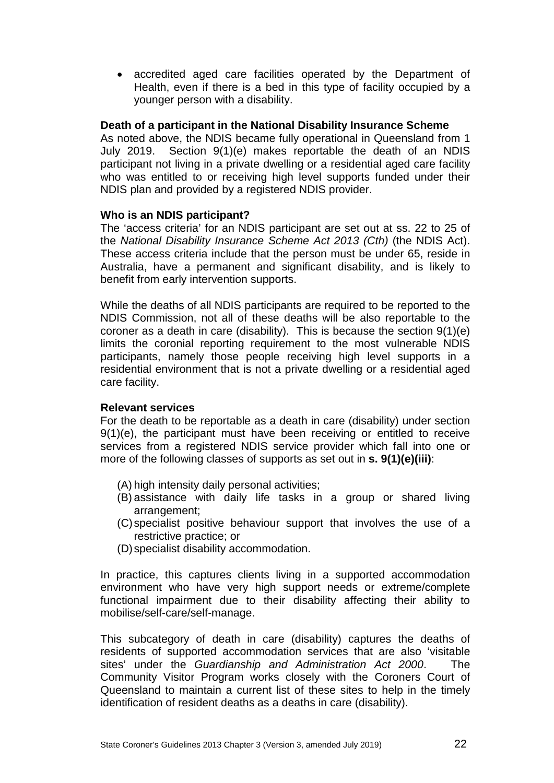• accredited aged care facilities operated by the Department of Health, even if there is a bed in this type of facility occupied by a younger person with a disability.

#### **Death of a participant in the National Disability Insurance Scheme**

As noted above, the NDIS became fully operational in Queensland from 1 July 2019. Section 9(1)(e) makes reportable the death of an NDIS participant not living in a private dwelling or a residential aged care facility who was entitled to or receiving high level supports funded under their NDIS plan and provided by a registered NDIS provider.

#### **Who is an NDIS participant?**

The 'access criteria' for an NDIS participant are set out at ss. 22 to 25 of the *National Disability Insurance Scheme Act 2013 (Cth)* (the NDIS Act). These access criteria include that the person must be under 65, reside in Australia, have a permanent and significant disability, and is likely to benefit from early intervention supports.

While the deaths of all NDIS participants are required to be reported to the NDIS Commission, not all of these deaths will be also reportable to the coroner as a death in care (disability). This is because the section 9(1)(e) limits the coronial reporting requirement to the most vulnerable NDIS participants, namely those people receiving high level supports in a residential environment that is not a private dwelling or a residential aged care facility.

#### **Relevant services**

For the death to be reportable as a death in care (disability) under section 9(1)(e), the participant must have been receiving or entitled to receive services from a registered NDIS service provider which fall into one or more of the following classes of supports as set out in **s. 9(1)(e)(iii)**:

- (A) high intensity daily personal activities;
- (B) assistance with daily life tasks in a group or shared living arrangement;
- (C)specialist positive behaviour support that involves the use of a restrictive practice; or
- (D)specialist disability accommodation.

In practice, this captures clients living in a supported accommodation environment who have very high support needs or extreme/complete functional impairment due to their disability affecting their ability to mobilise/self-care/self-manage.

This subcategory of death in care (disability) captures the deaths of residents of supported accommodation services that are also 'visitable sites' under the *Guardianship and Administration Act 2000*. The Community Visitor Program works closely with the Coroners Court of Queensland to maintain a current list of these sites to help in the timely identification of resident deaths as a deaths in care (disability).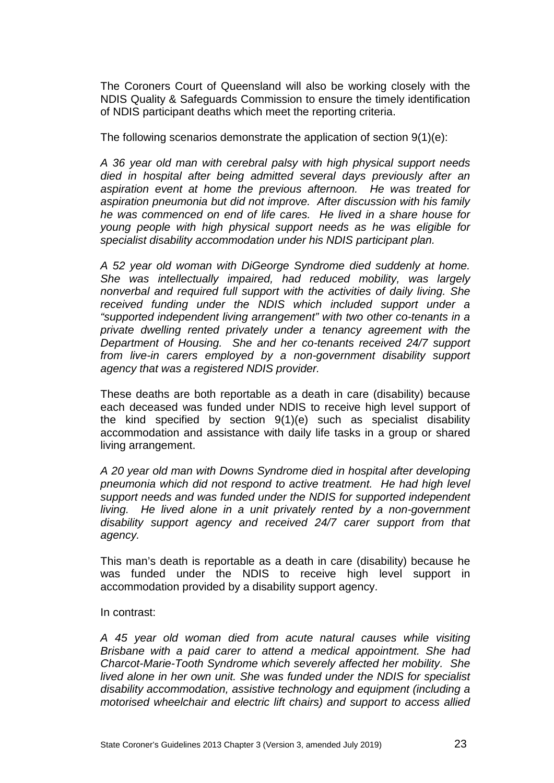The Coroners Court of Queensland will also be working closely with the NDIS Quality & Safeguards Commission to ensure the timely identification of NDIS participant deaths which meet the reporting criteria.

The following scenarios demonstrate the application of section 9(1)(e):

*A 36 year old man with cerebral palsy with high physical support needs died in hospital after being admitted several days previously after an aspiration event at home the previous afternoon. He was treated for aspiration pneumonia but did not improve. After discussion with his family he was commenced on end of life cares. He lived in a share house for young people with high physical support needs as he was eligible for specialist disability accommodation under his NDIS participant plan.* 

*A 52 year old woman with DiGeorge Syndrome died suddenly at home. She was intellectually impaired, had reduced mobility, was largely nonverbal and required full support with the activities of daily living. She received funding under the NDIS which included support under a "supported independent living arrangement" with two other co-tenants in a private dwelling rented privately under a tenancy agreement with the Department of Housing. She and her co-tenants received 24/7 support from live-in carers employed by a non-government disability support agency that was a registered NDIS provider.* 

These deaths are both reportable as a death in care (disability) because each deceased was funded under NDIS to receive high level support of the kind specified by section 9(1)(e) such as specialist disability accommodation and assistance with daily life tasks in a group or shared living arrangement.

*A 20 year old man with Downs Syndrome died in hospital after developing pneumonia which did not respond to active treatment. He had high level support needs and was funded under the NDIS for supported independent living. He lived alone in a unit privately rented by a non-government disability support agency and received 24/7 carer support from that agency.* 

This man's death is reportable as a death in care (disability) because he was funded under the NDIS to receive high level support in accommodation provided by a disability support agency.

#### In contrast:

*A 45 year old woman died from acute natural causes while visiting Brisbane with a paid carer to attend a medical appointment. She had Charcot-Marie-Tooth Syndrome which severely affected her mobility. She lived alone in her own unit. She was funded under the NDIS for specialist disability accommodation, assistive technology and equipment (including a motorised wheelchair and electric lift chairs) and support to access allied*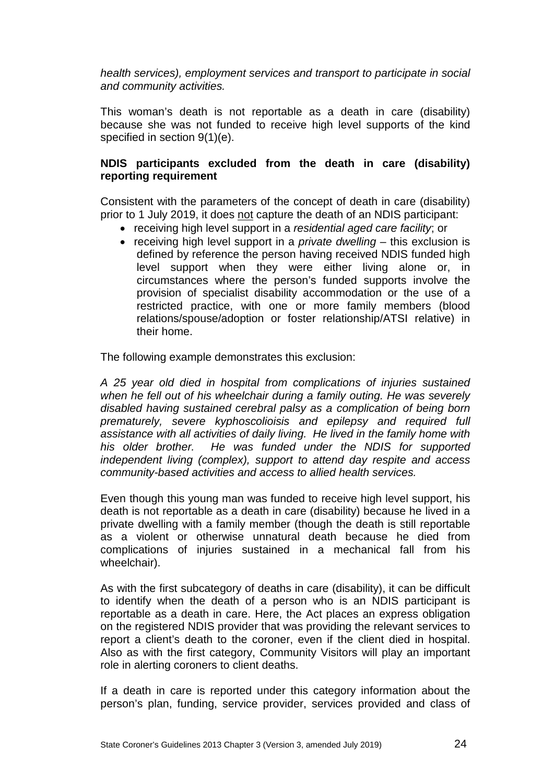*health services), employment services and transport to participate in social and community activities.* 

This woman's death is not reportable as a death in care (disability) because she was not funded to receive high level supports of the kind specified in section 9(1)(e).

#### **NDIS participants excluded from the death in care (disability) reporting requirement**

Consistent with the parameters of the concept of death in care (disability) prior to 1 July 2019, it does not capture the death of an NDIS participant:

- receiving high level support in a *residential aged care facility*; or
- receiving high level support in a *private dwelling* this exclusion is defined by reference the person having received NDIS funded high level support when they were either living alone or, in circumstances where the person's funded supports involve the provision of specialist disability accommodation or the use of a restricted practice, with one or more family members (blood relations/spouse/adoption or foster relationship/ATSI relative) in their home.

The following example demonstrates this exclusion:

*A 25 year old died in hospital from complications of injuries sustained when he fell out of his wheelchair during a family outing. He was severely disabled having sustained cerebral palsy as a complication of being born prematurely, severe kyphoscolioisis and epilepsy and required full assistance with all activities of daily living. He lived in the family home with his older brother. He was funded under the NDIS for supported independent living (complex), support to attend day respite and access community-based activities and access to allied health services.* 

Even though this young man was funded to receive high level support, his death is not reportable as a death in care (disability) because he lived in a private dwelling with a family member (though the death is still reportable as a violent or otherwise unnatural death because he died from complications of injuries sustained in a mechanical fall from his wheelchair).

As with the first subcategory of deaths in care (disability), it can be difficult to identify when the death of a person who is an NDIS participant is reportable as a death in care. Here, the Act places an express obligation on the registered NDIS provider that was providing the relevant services to report a client's death to the coroner, even if the client died in hospital. Also as with the first category, Community Visitors will play an important role in alerting coroners to client deaths.

If a death in care is reported under this category information about the person's plan, funding, service provider, services provided and class of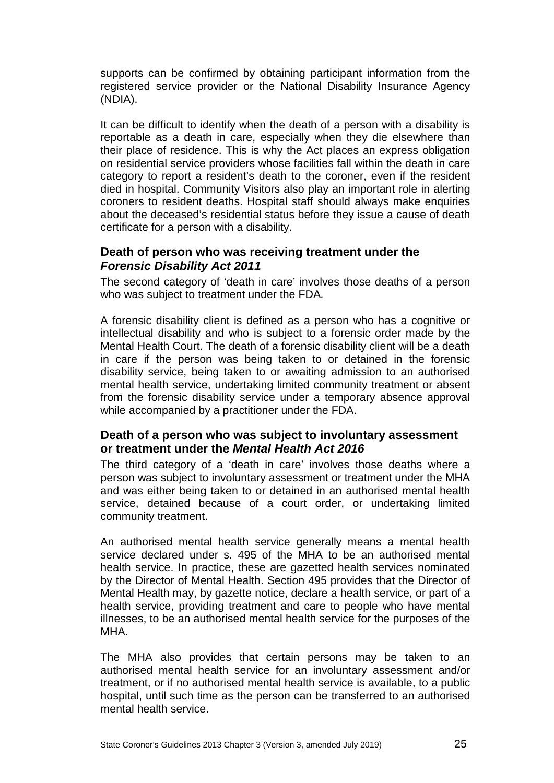supports can be confirmed by obtaining participant information from the registered service provider or the National Disability Insurance Agency (NDIA).

It can be difficult to identify when the death of a person with a disability is reportable as a death in care, especially when they die elsewhere than their place of residence. This is why the Act places an express obligation on residential service providers whose facilities fall within the death in care category to report a resident's death to the coroner, even if the resident died in hospital. Community Visitors also play an important role in alerting coroners to resident deaths. Hospital staff should always make enquiries about the deceased's residential status before they issue a cause of death certificate for a person with a disability.

#### <span id="page-24-0"></span>**Death of person who was receiving treatment under the**  *Forensic Disability Act 2011*

The second category of 'death in care' involves those deaths of a person who was subject to treatment under the FDA*.*

A forensic disability client is defined as a person who has a cognitive or intellectual disability and who is subject to a forensic order made by the Mental Health Court. The death of a forensic disability client will be a death in care if the person was being taken to or detained in the forensic disability service, being taken to or awaiting admission to an authorised mental health service, undertaking limited community treatment or absent from the forensic disability service under a temporary absence approval while accompanied by a practitioner under the FDA.

### <span id="page-24-1"></span>**Death of a person who was subject to involuntary assessment or treatment under the** *Mental Health Act 2016*

The third category of a 'death in care' involves those deaths where a person was subject to involuntary assessment or treatment under the MHA and was either being taken to or detained in an authorised mental health service, detained because of a court order, or undertaking limited community treatment.

An authorised mental health service generally means a mental health service declared under s. 495 of the MHA to be an authorised mental health service. In practice, these are gazetted health services nominated by the Director of Mental Health. Section 495 provides that the Director of Mental Health may, by gazette notice, declare a health service, or part of a health service, providing treatment and care to people who have mental illnesses, to be an authorised mental health service for the purposes of the MHA.

The MHA also provides that certain persons may be taken to an authorised mental health service for an involuntary assessment and/or treatment, or if no authorised mental health service is available, to a public hospital, until such time as the person can be transferred to an authorised mental health service.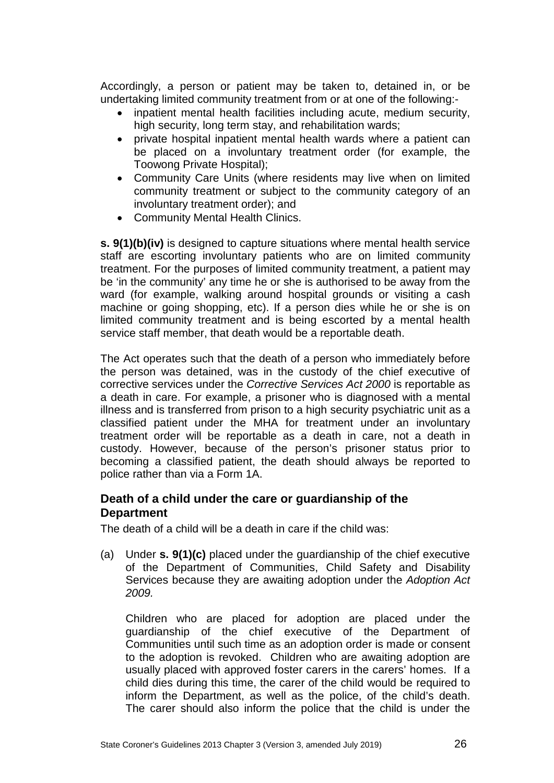Accordingly, a person or patient may be taken to, detained in, or be undertaking limited community treatment from or at one of the following:-

- inpatient mental health facilities including acute, medium security, high security, long term stay, and rehabilitation wards;
- private hospital inpatient mental health wards where a patient can be placed on a involuntary treatment order (for example, the Toowong Private Hospital);
- Community Care Units (where residents may live when on limited community treatment or subject to the community category of an involuntary treatment order); and
- Community Mental Health Clinics.

**s. 9(1)(b)(iv)** is designed to capture situations where mental health service staff are escorting involuntary patients who are on limited community treatment. For the purposes of limited community treatment, a patient may be 'in the community' any time he or she is authorised to be away from the ward (for example, walking around hospital grounds or visiting a cash machine or going shopping, etc). If a person dies while he or she is on limited community treatment and is being escorted by a mental health service staff member, that death would be a reportable death.

The Act operates such that the death of a person who immediately before the person was detained, was in the custody of the chief executive of corrective services under the *Corrective Services Act 2000* is reportable as a death in care. For example, a prisoner who is diagnosed with a mental illness and is transferred from prison to a high security psychiatric unit as a classified patient under the MHA for treatment under an involuntary treatment order will be reportable as a death in care, not a death in custody. However, because of the person's prisoner status prior to becoming a classified patient, the death should always be reported to police rather than via a Form 1A.

### <span id="page-25-0"></span>**Death of a child under the care or guardianship of the Department**

The death of a child will be a death in care if the child was:

(a) Under **s. 9(1)(c)** placed under the guardianship of the chief executive of the Department of Communities, Child Safety and Disability Services because they are awaiting adoption under the *Adoption Act 2009.*

Children who are placed for adoption are placed under the guardianship of the chief executive of the Department of Communities until such time as an adoption order is made or consent to the adoption is revoked. Children who are awaiting adoption are usually placed with approved foster carers in the carers' homes. If a child dies during this time, the carer of the child would be required to inform the Department, as well as the police, of the child's death. The carer should also inform the police that the child is under the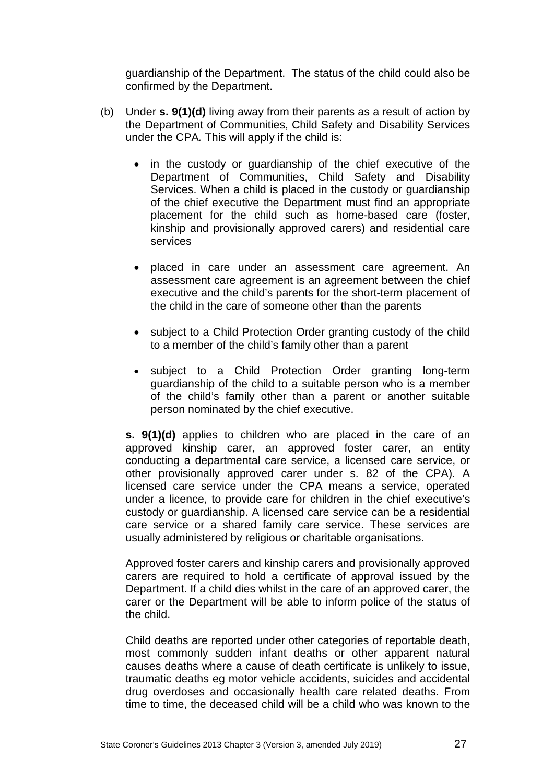guardianship of the Department. The status of the child could also be confirmed by the Department.

- (b) Under **s. 9(1)(d)** living away from their parents as a result of action by the Department of Communities, Child Safety and Disability Services under the CPA*.* This will apply if the child is:
	- in the custody or guardianship of the chief executive of the Department of Communities, Child Safety and Disability Services. When a child is placed in the custody or quardianship of the chief executive the Department must find an appropriate placement for the child such as home-based care (foster, kinship and provisionally approved carers) and residential care services
	- placed in care under an assessment care agreement. An assessment care agreement is an agreement between the chief executive and the child's parents for the short-term placement of the child in the care of someone other than the parents
	- subject to a Child Protection Order granting custody of the child to a member of the child's family other than a parent
	- subject to a Child Protection Order granting long-term guardianship of the child to a suitable person who is a member of the child's family other than a parent or another suitable person nominated by the chief executive.

**s. 9(1)(d)** applies to children who are placed in the care of an approved kinship carer, an approved foster carer, an entity conducting a departmental care service, a licensed care service, or other provisionally approved carer under s. 82 of the CPA). A licensed care service under the CPA means a service, operated under a licence, to provide care for children in the chief executive's custody or guardianship. A licensed care service can be a residential care service or a shared family care service. These services are usually administered by religious or charitable organisations.

Approved foster carers and kinship carers and provisionally approved carers are required to hold a certificate of approval issued by the Department. If a child dies whilst in the care of an approved carer, the carer or the Department will be able to inform police of the status of the child.

Child deaths are reported under other categories of reportable death, most commonly sudden infant deaths or other apparent natural causes deaths where a cause of death certificate is unlikely to issue, traumatic deaths eg motor vehicle accidents, suicides and accidental drug overdoses and occasionally health care related deaths. From time to time, the deceased child will be a child who was known to the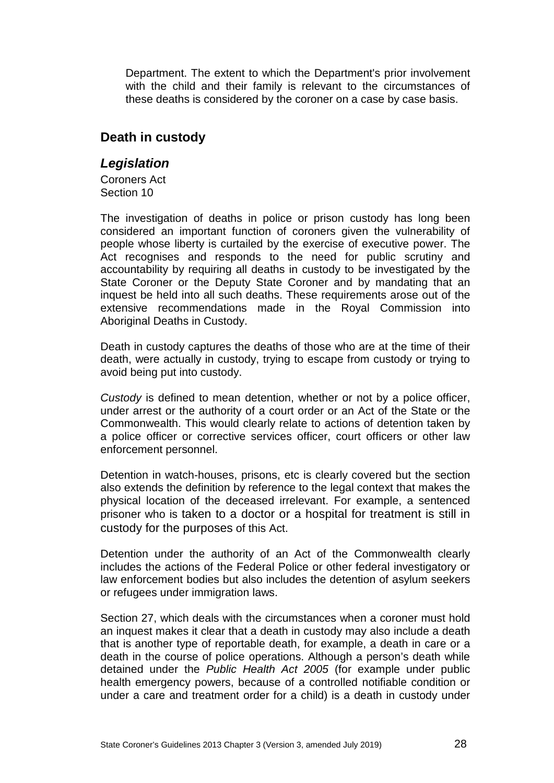Department. The extent to which the Department's prior involvement with the child and their family is relevant to the circumstances of these deaths is considered by the coroner on a case by case basis.

### <span id="page-27-0"></span>**Death in custody**

### <span id="page-27-1"></span>*Legislation*

Coroners Act Section 10

The investigation of deaths in police or prison custody has long been considered an important function of coroners given the vulnerability of people whose liberty is curtailed by the exercise of executive power. The Act recognises and responds to the need for public scrutiny and accountability by requiring all deaths in custody to be investigated by the State Coroner or the Deputy State Coroner and by mandating that an inquest be held into all such deaths. These requirements arose out of the extensive recommendations made in the Royal Commission into Aboriginal Deaths in Custody.

Death in custody captures the deaths of those who are at the time of their death, were actually in custody, trying to escape from custody or trying to avoid being put into custody.

*Custody* is defined to mean detention, whether or not by a police officer, under arrest or the authority of a court order or an Act of the State or the Commonwealth. This would clearly relate to actions of detention taken by a police officer or corrective services officer, court officers or other law enforcement personnel.

Detention in watch-houses, prisons, etc is clearly covered but the section also extends the definition by reference to the legal context that makes the physical location of the deceased irrelevant. For example, a sentenced prisoner who is taken to a doctor or a hospital for treatment is still in custody for the purposes of this Act.

Detention under the authority of an Act of the Commonwealth clearly includes the actions of the Federal Police or other federal investigatory or law enforcement bodies but also includes the detention of asylum seekers or refugees under immigration laws.

Section 27, which deals with the circumstances when a coroner must hold an inquest makes it clear that a death in custody may also include a death that is another type of reportable death, for example, a death in care or a death in the course of police operations. Although a person's death while detained under the *Public Health Act 2005* (for example under public health emergency powers, because of a controlled notifiable condition or under a care and treatment order for a child) is a death in custody under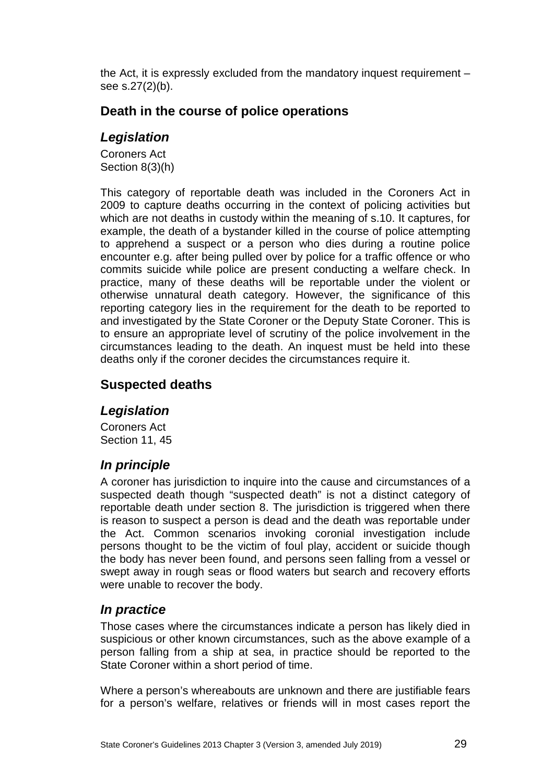the Act, it is expressly excluded from the mandatory inquest requirement – see s.27(2)(b).

### <span id="page-28-0"></span>**Death in the course of police operations**

### <span id="page-28-1"></span>*Legislation*

Coroners Act Section 8(3)(h)

This category of reportable death was included in the Coroners Act in 2009 to capture deaths occurring in the context of policing activities but which are not deaths in custody within the meaning of s.10. It captures, for example, the death of a bystander killed in the course of police attempting to apprehend a suspect or a person who dies during a routine police encounter e.g. after being pulled over by police for a traffic offence or who commits suicide while police are present conducting a welfare check. In practice, many of these deaths will be reportable under the violent or otherwise unnatural death category. However, the significance of this reporting category lies in the requirement for the death to be reported to and investigated by the State Coroner or the Deputy State Coroner. This is to ensure an appropriate level of scrutiny of the police involvement in the circumstances leading to the death. An inquest must be held into these deaths only if the coroner decides the circumstances require it.

### <span id="page-28-2"></span>**Suspected deaths**

### <span id="page-28-3"></span>*Legislation*

Coroners Act Section 11, 45

### <span id="page-28-4"></span>*In principle*

A coroner has jurisdiction to inquire into the cause and circumstances of a suspected death though "suspected death" is not a distinct category of reportable death under section 8. The jurisdiction is triggered when there is reason to suspect a person is dead and the death was reportable under the Act. Common scenarios invoking coronial investigation include persons thought to be the victim of foul play, accident or suicide though the body has never been found, and persons seen falling from a vessel or swept away in rough seas or flood waters but search and recovery efforts were unable to recover the body.

### <span id="page-28-5"></span>*In practice*

Those cases where the circumstances indicate a person has likely died in suspicious or other known circumstances, such as the above example of a person falling from a ship at sea, in practice should be reported to the State Coroner within a short period of time.

Where a person's whereabouts are unknown and there are justifiable fears for a person's welfare, relatives or friends will in most cases report the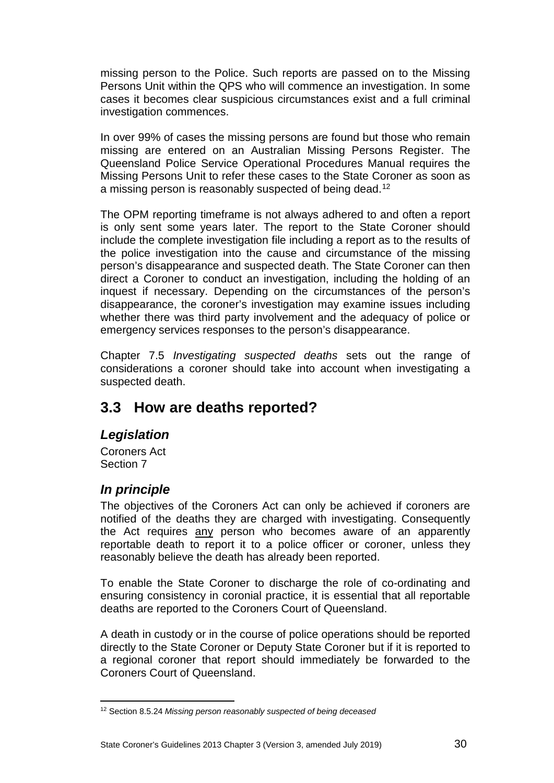missing person to the Police. Such reports are passed on to the Missing Persons Unit within the QPS who will commence an investigation. In some cases it becomes clear suspicious circumstances exist and a full criminal investigation commences.

In over 99% of cases the missing persons are found but those who remain missing are entered on an Australian Missing Persons Register. The Queensland Police Service Operational Procedures Manual requires the Missing Persons Unit to refer these cases to the State Coroner as soon as a missing person is reasonably suspected of being dead.<sup>[12](#page-29-3)</sup>

The OPM reporting timeframe is not always adhered to and often a report is only sent some years later. The report to the State Coroner should include the complete investigation file including a report as to the results of the police investigation into the cause and circumstance of the missing person's disappearance and suspected death. The State Coroner can then direct a Coroner to conduct an investigation, including the holding of an inquest if necessary. Depending on the circumstances of the person's disappearance, the coroner's investigation may examine issues including whether there was third party involvement and the adequacy of police or emergency services responses to the person's disappearance.

Chapter 7.5 *Investigating suspected deaths* sets out the range of considerations a coroner should take into account when investigating a suspected death.

## <span id="page-29-0"></span>**3.3 How are deaths reported?**

### <span id="page-29-1"></span>*Legislation*

Coroners Act Section 7

### <span id="page-29-2"></span>*In principle*

The objectives of the Coroners Act can only be achieved if coroners are notified of the deaths they are charged with investigating. Consequently the Act requires any person who becomes aware of an apparently reportable death to report it to a police officer or coroner, unless they reasonably believe the death has already been reported.

To enable the State Coroner to discharge the role of co-ordinating and ensuring consistency in coronial practice, it is essential that all reportable deaths are reported to the Coroners Court of Queensland.

A death in custody or in the course of police operations should be reported directly to the State Coroner or Deputy State Coroner but if it is reported to a regional coroner that report should immediately be forwarded to the Coroners Court of Queensland.

<span id="page-29-3"></span><sup>12</sup> Section 8.5.24 *Missing person reasonably suspected of being deceased* <u>.</u>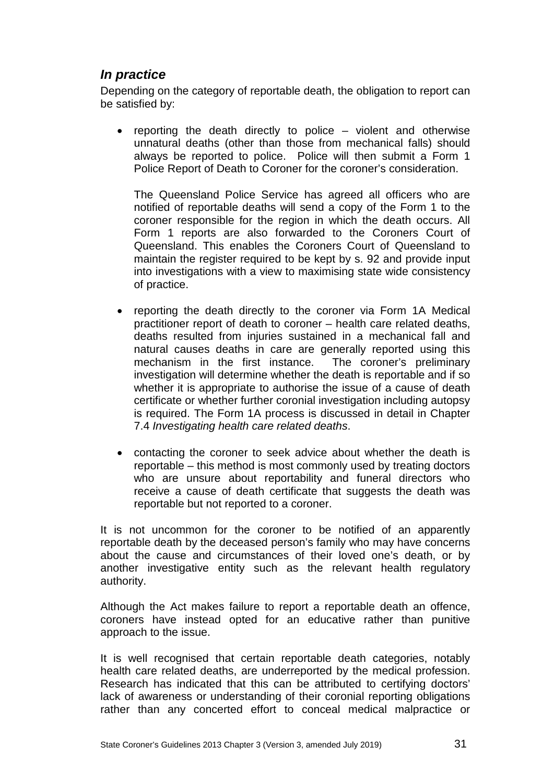### <span id="page-30-0"></span>*In practice*

Depending on the category of reportable death, the obligation to report can be satisfied by:

• reporting the death directly to police – violent and otherwise unnatural deaths (other than those from mechanical falls) should always be reported to police. Police will then submit a Form 1 Police Report of Death to Coroner for the coroner's consideration.

The Queensland Police Service has agreed all officers who are notified of reportable deaths will send a copy of the Form 1 to the coroner responsible for the region in which the death occurs. All Form 1 reports are also forwarded to the Coroners Court of Queensland. This enables the Coroners Court of Queensland to maintain the register required to be kept by s. 92 and provide input into investigations with a view to maximising state wide consistency of practice.

- reporting the death directly to the coroner via Form 1A Medical practitioner report of death to coroner – health care related deaths, deaths resulted from injuries sustained in a mechanical fall and natural causes deaths in care are generally reported using this mechanism in the first instance. The coroner's preliminary investigation will determine whether the death is reportable and if so whether it is appropriate to authorise the issue of a cause of death certificate or whether further coronial investigation including autopsy is required. The Form 1A process is discussed in detail in Chapter 7.4 *Investigating health care related deaths*.
- contacting the coroner to seek advice about whether the death is reportable – this method is most commonly used by treating doctors who are unsure about reportability and funeral directors who receive a cause of death certificate that suggests the death was reportable but not reported to a coroner.

It is not uncommon for the coroner to be notified of an apparently reportable death by the deceased person's family who may have concerns about the cause and circumstances of their loved one's death, or by another investigative entity such as the relevant health regulatory authority.

Although the Act makes failure to report a reportable death an offence, coroners have instead opted for an educative rather than punitive approach to the issue.

It is well recognised that certain reportable death categories, notably health care related deaths, are underreported by the medical profession. Research has indicated that this can be attributed to certifying doctors' lack of awareness or understanding of their coronial reporting obligations rather than any concerted effort to conceal medical malpractice or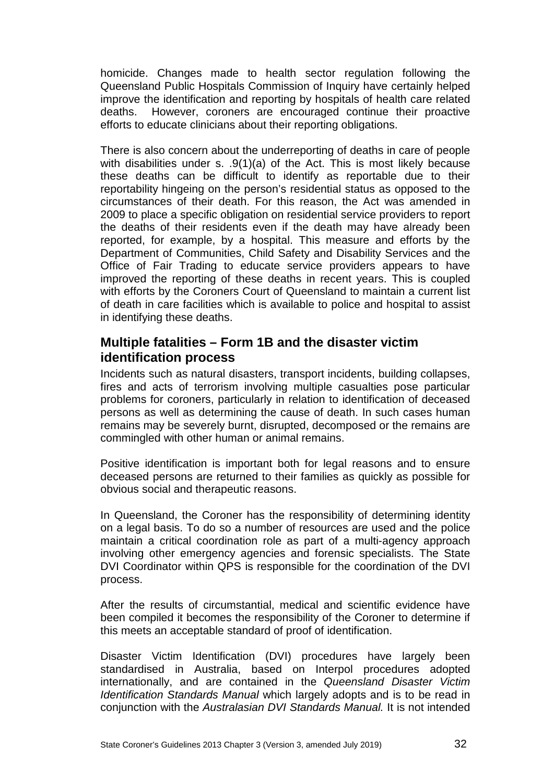homicide. Changes made to health sector regulation following the Queensland Public Hospitals Commission of Inquiry have certainly helped improve the identification and reporting by hospitals of health care related deaths. However, coroners are encouraged continue their proactive efforts to educate clinicians about their reporting obligations.

There is also concern about the underreporting of deaths in care of people with disabilities under s.  $.9(1)(a)$  of the Act. This is most likely because these deaths can be difficult to identify as reportable due to their reportability hingeing on the person's residential status as opposed to the circumstances of their death. For this reason, the Act was amended in 2009 to place a specific obligation on residential service providers to report the deaths of their residents even if the death may have already been reported, for example, by a hospital. This measure and efforts by the Department of Communities, Child Safety and Disability Services and the Office of Fair Trading to educate service providers appears to have improved the reporting of these deaths in recent years. This is coupled with efforts by the Coroners Court of Queensland to maintain a current list of death in care facilities which is available to police and hospital to assist in identifying these deaths.

### <span id="page-31-0"></span>**Multiple fatalities – Form 1B and the disaster victim identification process**

Incidents such as natural disasters, transport incidents, building collapses, fires and acts of terrorism involving multiple casualties pose particular problems for coroners, particularly in relation to identification of deceased persons as well as determining the cause of death. In such cases human remains may be severely burnt, disrupted, decomposed or the remains are commingled with other human or animal remains.

Positive identification is important both for legal reasons and to ensure deceased persons are returned to their families as quickly as possible for obvious social and therapeutic reasons.

In Queensland, the Coroner has the responsibility of determining identity on a legal basis. To do so a number of resources are used and the police maintain a critical coordination role as part of a multi-agency approach involving other emergency agencies and forensic specialists. The State DVI Coordinator within QPS is responsible for the coordination of the DVI process.

After the results of circumstantial, medical and scientific evidence have been compiled it becomes the responsibility of the Coroner to determine if this meets an acceptable standard of proof of identification.

Disaster Victim Identification (DVI) procedures have largely been standardised in Australia, based on Interpol procedures adopted internationally, and are contained in the *Queensland Disaster Victim Identification Standards Manual* which largely adopts and is to be read in conjunction with the *Australasian DVI Standards Manual.* It is not intended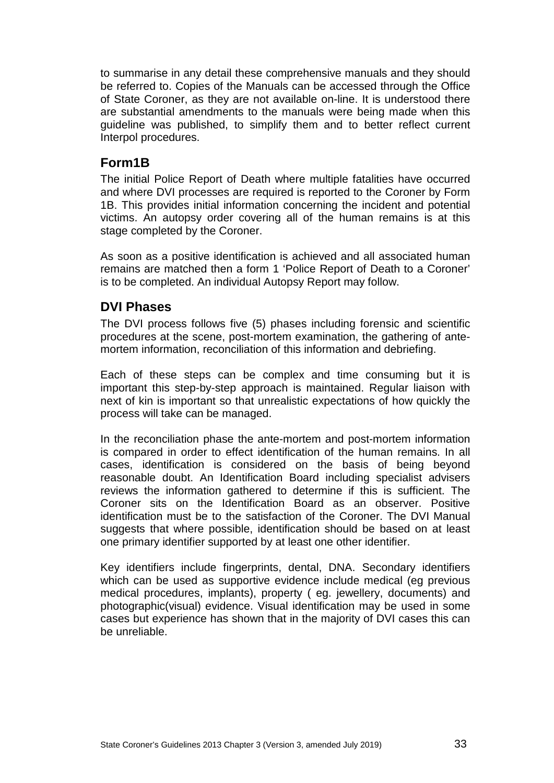to summarise in any detail these comprehensive manuals and they should be referred to. Copies of the Manuals can be accessed through the Office of State Coroner, as they are not available on-line. It is understood there are substantial amendments to the manuals were being made when this guideline was published, to simplify them and to better reflect current Interpol procedures.

### <span id="page-32-0"></span>**Form1B**

The initial Police Report of Death where multiple fatalities have occurred and where DVI processes are required is reported to the Coroner by Form 1B. This provides initial information concerning the incident and potential victims. An autopsy order covering all of the human remains is at this stage completed by the Coroner.

As soon as a positive identification is achieved and all associated human remains are matched then a form 1 'Police Report of Death to a Coroner' is to be completed. An individual Autopsy Report may follow.

### <span id="page-32-1"></span>**DVI Phases**

The DVI process follows five (5) phases including forensic and scientific procedures at the scene, post-mortem examination, the gathering of antemortem information, reconciliation of this information and debriefing.

Each of these steps can be complex and time consuming but it is important this step-by-step approach is maintained. Regular liaison with next of kin is important so that unrealistic expectations of how quickly the process will take can be managed.

In the reconciliation phase the ante-mortem and post-mortem information is compared in order to effect identification of the human remains. In all cases, identification is considered on the basis of being beyond reasonable doubt. An Identification Board including specialist advisers reviews the information gathered to determine if this is sufficient. The Coroner sits on the Identification Board as an observer. Positive identification must be to the satisfaction of the Coroner. The DVI Manual suggests that where possible, identification should be based on at least one primary identifier supported by at least one other identifier.

Key identifiers include fingerprints, dental, DNA. Secondary identifiers which can be used as supportive evidence include medical (eg previous medical procedures, implants), property ( eg. jewellery, documents) and photographic(visual) evidence. Visual identification may be used in some cases but experience has shown that in the majority of DVI cases this can be unreliable.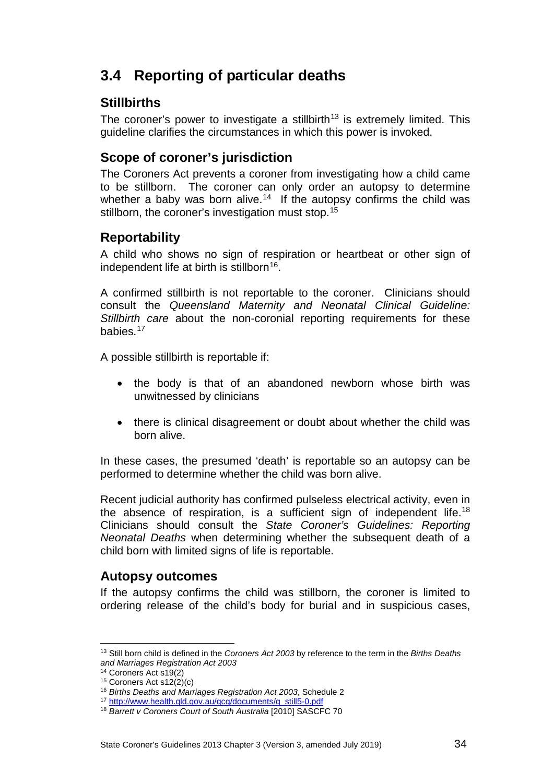# <span id="page-33-0"></span>**3.4 Reporting of particular deaths**

### <span id="page-33-1"></span>**Stillbirths**

The coroner's power to investigate a stillbirth<sup>[13](#page-33-5)</sup> is extremely limited. This guideline clarifies the circumstances in which this power is invoked.

### <span id="page-33-2"></span>**Scope of coroner's jurisdiction**

The Coroners Act prevents a coroner from investigating how a child came to be stillborn. The coroner can only order an autopsy to determine whether a baby was born alive.<sup>[14](#page-33-6)</sup> If the autopsy confirms the child was stillborn, the coroner's investigation must stop.<sup>[15](#page-33-7)</sup>

### <span id="page-33-3"></span>**Reportability**

A child who shows no sign of respiration or heartbeat or other sign of independent life at birth is stillborn<sup>16</sup>.

A confirmed stillbirth is not reportable to the coroner. Clinicians should consult the *Queensland Maternity and Neonatal Clinical Guideline: Stillbirth care* about the non-coronial reporting requirements for these babies.[17](#page-33-9)

A possible stillbirth is reportable if:

- the body is that of an abandoned newborn whose birth was unwitnessed by clinicians
- there is clinical disagreement or doubt about whether the child was born alive.

In these cases, the presumed 'death' is reportable so an autopsy can be performed to determine whether the child was born alive.

Recent judicial authority has confirmed pulseless electrical activity, even in the absence of respiration, is a sufficient sign of independent life[.18](#page-33-10) Clinicians should consult the *State Coroner's Guidelines: Reporting Neonatal Deaths* when determining whether the subsequent death of a child born with limited signs of life is reportable.

### <span id="page-33-4"></span>**Autopsy outcomes**

If the autopsy confirms the child was stillborn, the coroner is limited to ordering release of the child's body for burial and in suspicious cases,

<u>.</u>

<span id="page-33-5"></span><sup>13</sup> Still born child is defined in the *Coroners Act 2003* by reference to the term in the *Births Deaths and Marriages Registration Act 2003*

<span id="page-33-6"></span><sup>14</sup> Coroners Act s19(2)

<span id="page-33-7"></span> $15$  Coroners Act s12(2)(c)

<span id="page-33-8"></span><sup>16</sup> *Births Deaths and Marriages Registration Act 2003*, Schedule 2

<span id="page-33-9"></span><sup>17</sup> [http://www.health.qld.gov.au/qcg/documents/g\\_still5-0.pdf](http://www.health.qld.gov.au/qcg/documents/g_still5-0.pdf)

<span id="page-33-10"></span><sup>18</sup> *Barrett v Coroners Court of South Australia* [2010] SASCFC 70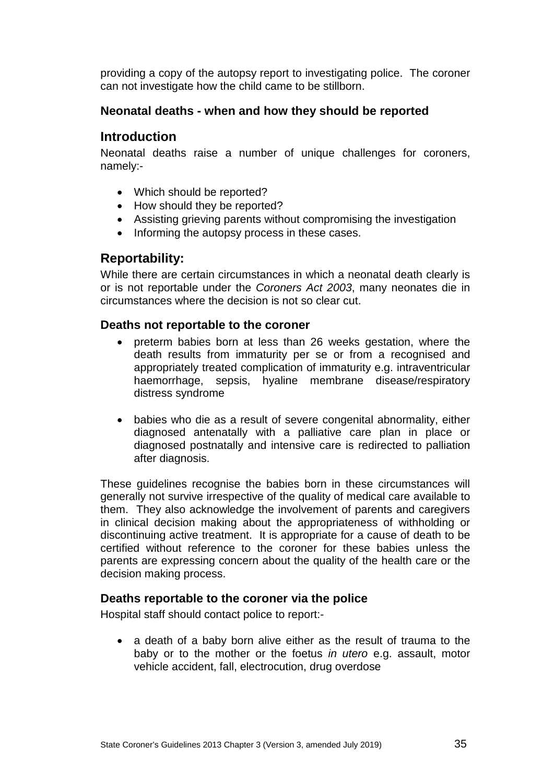providing a copy of the autopsy report to investigating police. The coroner can not investigate how the child came to be stillborn.

#### <span id="page-34-0"></span>**Neonatal deaths - when and how they should be reported**

### <span id="page-34-1"></span>**Introduction**

Neonatal deaths raise a number of unique challenges for coroners, namely:-

- Which should be reported?
- How should they be reported?
- Assisting grieving parents without compromising the investigation
- Informing the autopsy process in these cases.

### <span id="page-34-2"></span>**Reportability:**

While there are certain circumstances in which a neonatal death clearly is or is not reportable under the *Coroners Act 2003*, many neonates die in circumstances where the decision is not so clear cut.

#### <span id="page-34-3"></span>**Deaths not reportable to the coroner**

- preterm babies born at less than 26 weeks gestation, where the death results from immaturity per se or from a recognised and appropriately treated complication of immaturity e.g. intraventricular haemorrhage, sepsis, hyaline membrane disease/respiratory distress syndrome
- babies who die as a result of severe congenital abnormality, either diagnosed antenatally with a palliative care plan in place or diagnosed postnatally and intensive care is redirected to palliation after diagnosis.

These guidelines recognise the babies born in these circumstances will generally not survive irrespective of the quality of medical care available to them. They also acknowledge the involvement of parents and caregivers in clinical decision making about the appropriateness of withholding or discontinuing active treatment. It is appropriate for a cause of death to be certified without reference to the coroner for these babies unless the parents are expressing concern about the quality of the health care or the decision making process.

### <span id="page-34-4"></span>**Deaths reportable to the coroner via the police**

Hospital staff should contact police to report:-

• a death of a baby born alive either as the result of trauma to the baby or to the mother or the foetus *in utero* e.g. assault, motor vehicle accident, fall, electrocution, drug overdose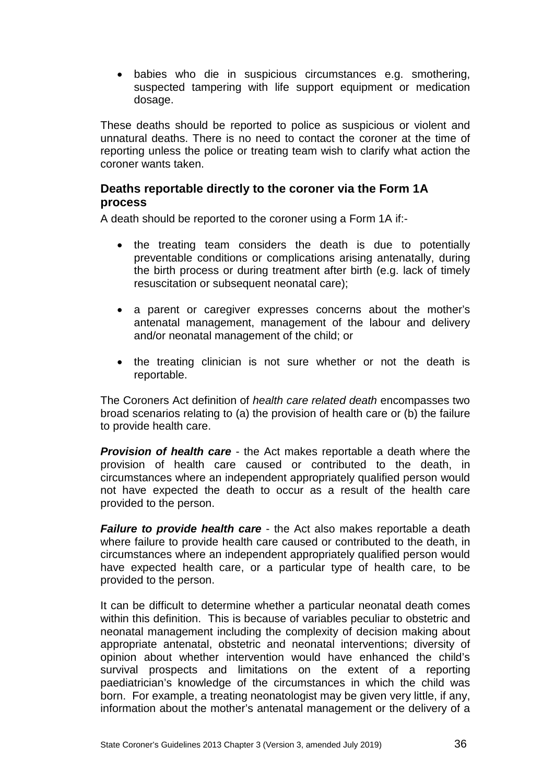• babies who die in suspicious circumstances e.g. smothering, suspected tampering with life support equipment or medication dosage.

These deaths should be reported to police as suspicious or violent and unnatural deaths. There is no need to contact the coroner at the time of reporting unless the police or treating team wish to clarify what action the coroner wants taken.

#### <span id="page-35-0"></span>**Deaths reportable directly to the coroner via the Form 1A process**

A death should be reported to the coroner using a Form 1A if:-

- the treating team considers the death is due to potentially preventable conditions or complications arising antenatally, during the birth process or during treatment after birth (e.g. lack of timely resuscitation or subsequent neonatal care);
- a parent or caregiver expresses concerns about the mother's antenatal management, management of the labour and delivery and/or neonatal management of the child; or
- the treating clinician is not sure whether or not the death is reportable.

The Coroners Act definition of *health care related death* encompasses two broad scenarios relating to (a) the provision of health care or (b) the failure to provide health care.

*Provision of health care* - the Act makes reportable a death where the provision of health care caused or contributed to the death, in circumstances where an independent appropriately qualified person would not have expected the death to occur as a result of the health care provided to the person.

*Failure to provide health care* - the Act also makes reportable a death where failure to provide health care caused or contributed to the death, in circumstances where an independent appropriately qualified person would have expected health care, or a particular type of health care, to be provided to the person.

It can be difficult to determine whether a particular neonatal death comes within this definition. This is because of variables peculiar to obstetric and neonatal management including the complexity of decision making about appropriate antenatal, obstetric and neonatal interventions; diversity of opinion about whether intervention would have enhanced the child's survival prospects and limitations on the extent of a reporting paediatrician's knowledge of the circumstances in which the child was born. For example, a treating neonatologist may be given very little, if any, information about the mother's antenatal management or the delivery of a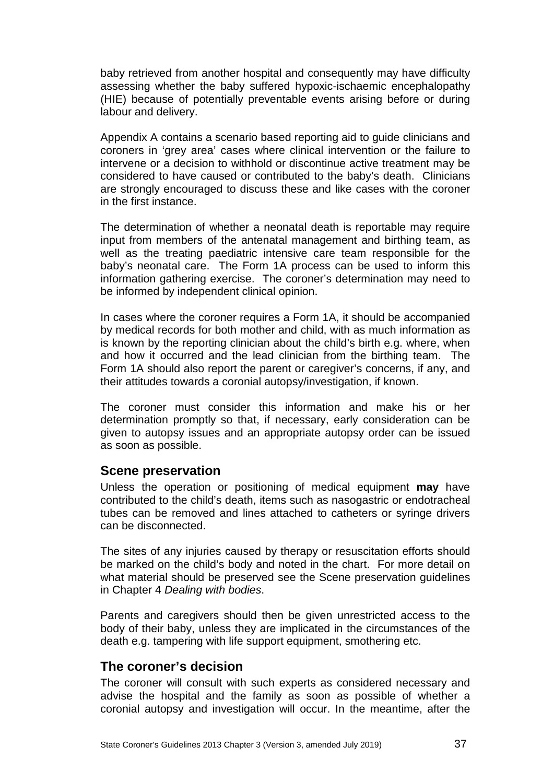baby retrieved from another hospital and consequently may have difficulty assessing whether the baby suffered hypoxic-ischaemic encephalopathy (HIE) because of potentially preventable events arising before or during labour and delivery.

Appendix A contains a scenario based reporting aid to guide clinicians and coroners in 'grey area' cases where clinical intervention or the failure to intervene or a decision to withhold or discontinue active treatment may be considered to have caused or contributed to the baby's death. Clinicians are strongly encouraged to discuss these and like cases with the coroner in the first instance.

The determination of whether a neonatal death is reportable may require input from members of the antenatal management and birthing team, as well as the treating paediatric intensive care team responsible for the baby's neonatal care. The Form 1A process can be used to inform this information gathering exercise. The coroner's determination may need to be informed by independent clinical opinion.

In cases where the coroner requires a Form 1A, it should be accompanied by medical records for both mother and child, with as much information as is known by the reporting clinician about the child's birth e.g. where, when and how it occurred and the lead clinician from the birthing team. The Form 1A should also report the parent or caregiver's concerns, if any, and their attitudes towards a coronial autopsy/investigation, if known.

The coroner must consider this information and make his or her determination promptly so that, if necessary, early consideration can be given to autopsy issues and an appropriate autopsy order can be issued as soon as possible.

### <span id="page-36-0"></span>**Scene preservation**

Unless the operation or positioning of medical equipment **may** have contributed to the child's death, items such as nasogastric or endotracheal tubes can be removed and lines attached to catheters or syringe drivers can be disconnected.

The sites of any injuries caused by therapy or resuscitation efforts should be marked on the child's body and noted in the chart. For more detail on what material should be preserved see the Scene preservation guidelines in Chapter 4 *Dealing with bodies*.

Parents and caregivers should then be given unrestricted access to the body of their baby, unless they are implicated in the circumstances of the death e.g. tampering with life support equipment, smothering etc.

### <span id="page-36-1"></span>**The coroner's decision**

The coroner will consult with such experts as considered necessary and advise the hospital and the family as soon as possible of whether a coronial autopsy and investigation will occur. In the meantime, after the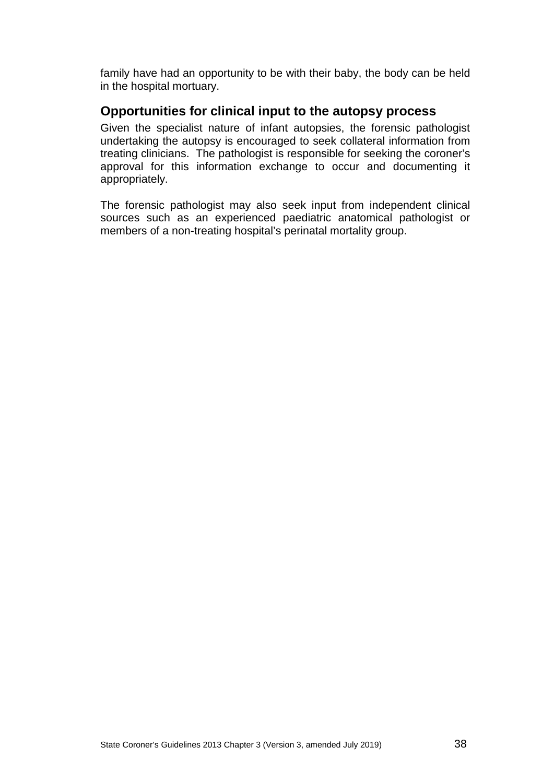family have had an opportunity to be with their baby, the body can be held in the hospital mortuary.

### <span id="page-37-0"></span>**Opportunities for clinical input to the autopsy process**

Given the specialist nature of infant autopsies, the forensic pathologist undertaking the autopsy is encouraged to seek collateral information from treating clinicians. The pathologist is responsible for seeking the coroner's approval for this information exchange to occur and documenting it appropriately.

The forensic pathologist may also seek input from independent clinical sources such as an experienced paediatric anatomical pathologist or members of a non-treating hospital's perinatal mortality group.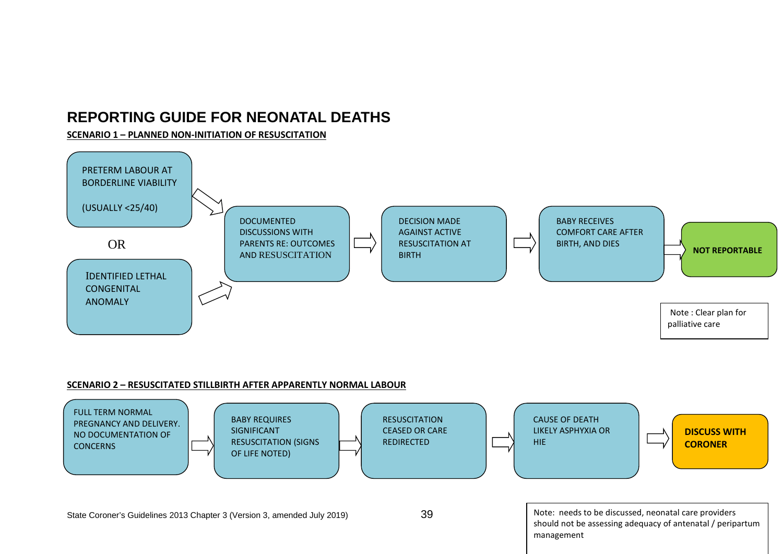# **REPORTING GUIDE FOR NEONATAL DEATHS**

#### **SCENARIO 1 – PLANNED NON-INITIATION OF RESUSCITATION**



#### <span id="page-38-0"></span>**SCENARIO 2 – RESUSCITATED STILLBIRTH AFTER APPARENTLY NORMAL LABOUR**

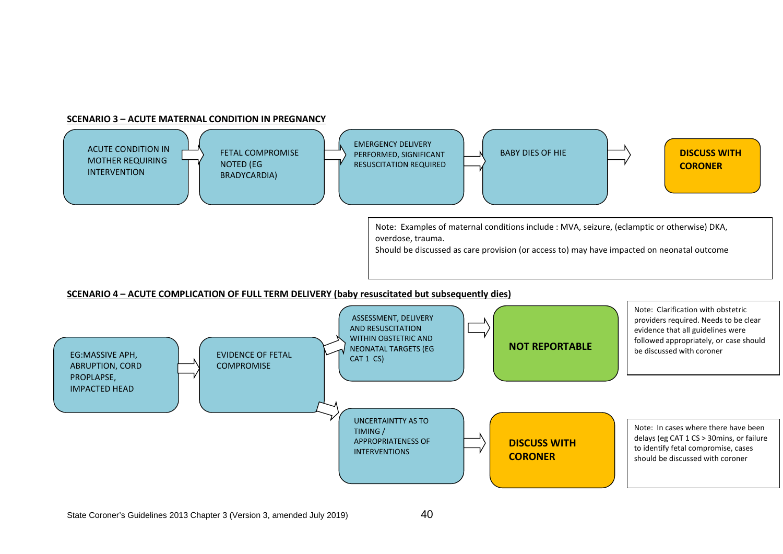#### **SCENARIO 3 – ACUTE MATERNAL CONDITION IN PREGNANCY**



#### **SCENARIO 4 – ACUTE COMPLICATION OF FULL TERM DELIVERY (baby resuscitated but subsequently dies)**

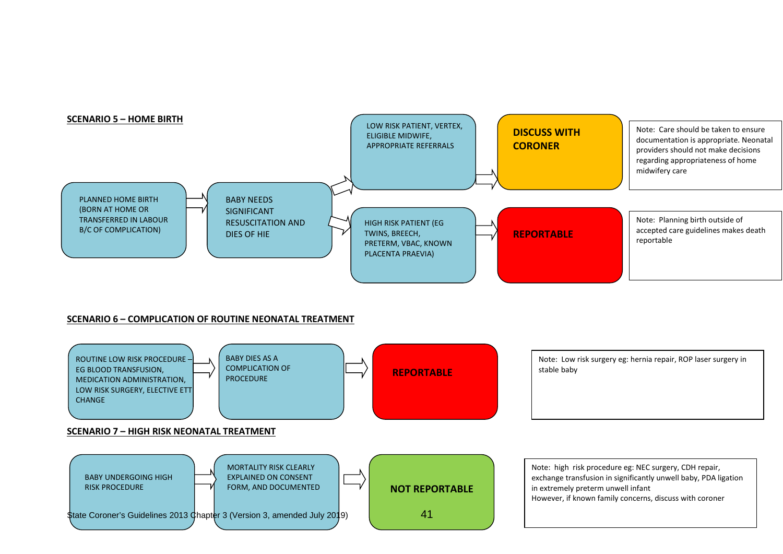

#### **SCENARIO 6 – COMPLICATION OF ROUTINE NEONATAL TREATMENT**

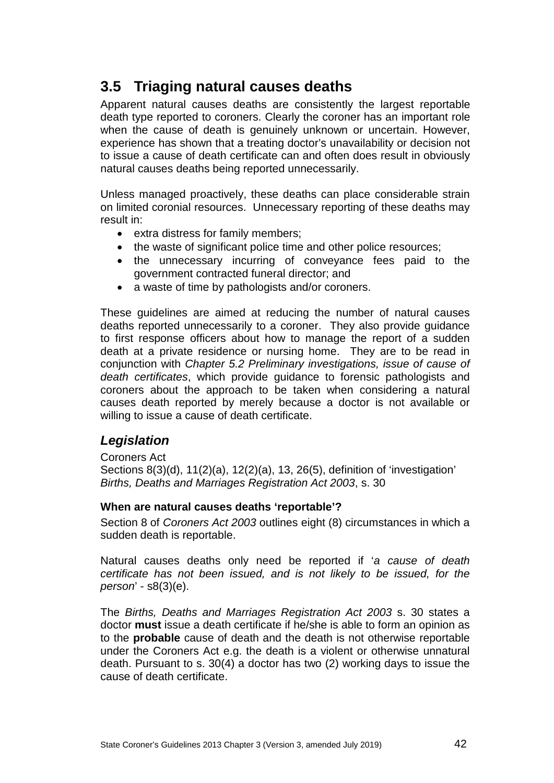# <span id="page-41-0"></span>**3.5 Triaging natural causes deaths**

Apparent natural causes deaths are consistently the largest reportable death type reported to coroners. Clearly the coroner has an important role when the cause of death is genuinely unknown or uncertain. However, experience has shown that a treating doctor's unavailability or decision not to issue a cause of death certificate can and often does result in obviously natural causes deaths being reported unnecessarily.

Unless managed proactively, these deaths can place considerable strain on limited coronial resources. Unnecessary reporting of these deaths may result in:

- extra distress for family members;
- the waste of significant police time and other police resources;
- the unnecessary incurring of conveyance fees paid to the government contracted funeral director; and
- a waste of time by pathologists and/or coroners.

These guidelines are aimed at reducing the number of natural causes deaths reported unnecessarily to a coroner. They also provide guidance to first response officers about how to manage the report of a sudden death at a private residence or nursing home. They are to be read in conjunction with *Chapter 5.2 Preliminary investigations, issue of cause of death certificates*, which provide guidance to forensic pathologists and coroners about the approach to be taken when considering a natural causes death reported by merely because a doctor is not available or willing to issue a cause of death certificate.

### <span id="page-41-1"></span>*Legislation*

Coroners Act

Sections 8(3)(d), 11(2)(a), 12(2)(a), 13, 26(5), definition of 'investigation' *Births, Deaths and Marriages Registration Act 2003*, s. 30

#### <span id="page-41-2"></span>**When are natural causes deaths 'reportable'?**

Section 8 of *Coroners Act 2003* outlines eight (8) circumstances in which a sudden death is reportable.

Natural causes deaths only need be reported if '*a cause of death certificate has not been issued, and is not likely to be issued, for the person*' - s8(3)(e).

The *Births, Deaths and Marriages Registration Act 2003* s. 30 states a doctor **must** issue a death certificate if he/she is able to form an opinion as to the **probable** cause of death and the death is not otherwise reportable under the Coroners Act e.g. the death is a violent or otherwise unnatural death. Pursuant to s. 30(4) a doctor has two (2) working days to issue the cause of death certificate.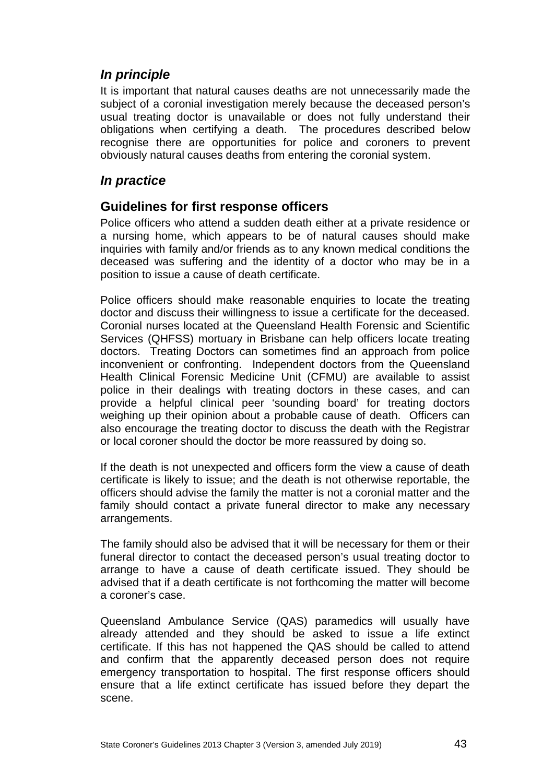### <span id="page-42-0"></span>*In principle*

It is important that natural causes deaths are not unnecessarily made the subject of a coronial investigation merely because the deceased person's usual treating doctor is unavailable or does not fully understand their obligations when certifying a death. The procedures described below recognise there are opportunities for police and coroners to prevent obviously natural causes deaths from entering the coronial system.

### <span id="page-42-1"></span>*In practice*

### <span id="page-42-2"></span>**Guidelines for first response officers**

Police officers who attend a sudden death either at a private residence or a nursing home, which appears to be of natural causes should make inquiries with family and/or friends as to any known medical conditions the deceased was suffering and the identity of a doctor who may be in a position to issue a cause of death certificate.

Police officers should make reasonable enquiries to locate the treating doctor and discuss their willingness to issue a certificate for the deceased. Coronial nurses located at the Queensland Health Forensic and Scientific Services (QHFSS) mortuary in Brisbane can help officers locate treating doctors. Treating Doctors can sometimes find an approach from police inconvenient or confronting. Independent doctors from the Queensland Health Clinical Forensic Medicine Unit (CFMU) are available to assist police in their dealings with treating doctors in these cases, and can provide a helpful clinical peer 'sounding board' for treating doctors weighing up their opinion about a probable cause of death. Officers can also encourage the treating doctor to discuss the death with the Registrar or local coroner should the doctor be more reassured by doing so.

If the death is not unexpected and officers form the view a cause of death certificate is likely to issue; and the death is not otherwise reportable, the officers should advise the family the matter is not a coronial matter and the family should contact a private funeral director to make any necessary arrangements.

The family should also be advised that it will be necessary for them or their funeral director to contact the deceased person's usual treating doctor to arrange to have a cause of death certificate issued. They should be advised that if a death certificate is not forthcoming the matter will become a coroner's case.

Queensland Ambulance Service (QAS) paramedics will usually have already attended and they should be asked to issue a life extinct certificate. If this has not happened the QAS should be called to attend and confirm that the apparently deceased person does not require emergency transportation to hospital. The first response officers should ensure that a life extinct certificate has issued before they depart the scene.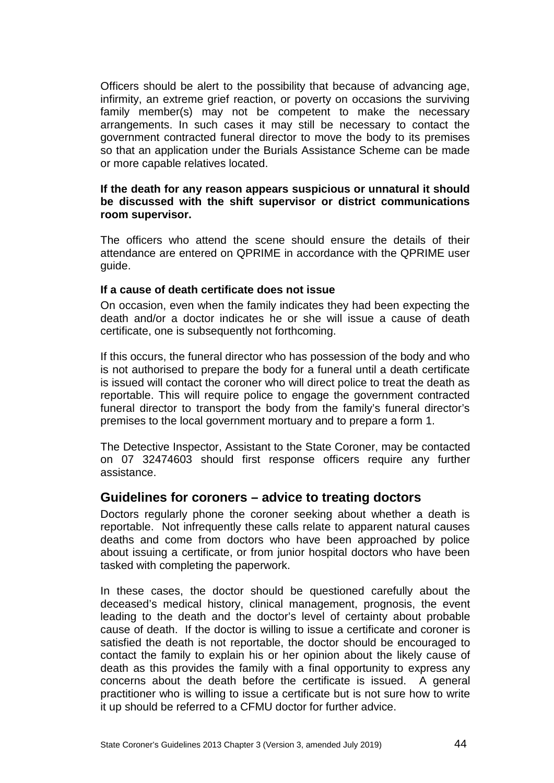Officers should be alert to the possibility that because of advancing age, infirmity, an extreme grief reaction, or poverty on occasions the surviving family member(s) may not be competent to make the necessary arrangements. In such cases it may still be necessary to contact the government contracted funeral director to move the body to its premises so that an application under the Burials Assistance Scheme can be made or more capable relatives located.

#### **If the death for any reason appears suspicious or unnatural it should be discussed with the shift supervisor or district communications room supervisor.**

The officers who attend the scene should ensure the details of their attendance are entered on QPRIME in accordance with the QPRIME user guide.

#### <span id="page-43-0"></span>**If a cause of death certificate does not issue**

On occasion, even when the family indicates they had been expecting the death and/or a doctor indicates he or she will issue a cause of death certificate, one is subsequently not forthcoming.

If this occurs, the funeral director who has possession of the body and who is not authorised to prepare the body for a funeral until a death certificate is issued will contact the coroner who will direct police to treat the death as reportable. This will require police to engage the government contracted funeral director to transport the body from the family's funeral director's premises to the local government mortuary and to prepare a form 1.

The Detective Inspector, Assistant to the State Coroner, may be contacted on 07 32474603 should first response officers require any further assistance.

### <span id="page-43-1"></span>**Guidelines for coroners – advice to treating doctors**

Doctors regularly phone the coroner seeking about whether a death is reportable. Not infrequently these calls relate to apparent natural causes deaths and come from doctors who have been approached by police about issuing a certificate, or from junior hospital doctors who have been tasked with completing the paperwork.

In these cases, the doctor should be questioned carefully about the deceased's medical history, clinical management, prognosis, the event leading to the death and the doctor's level of certainty about probable cause of death. If the doctor is willing to issue a certificate and coroner is satisfied the death is not reportable, the doctor should be encouraged to contact the family to explain his or her opinion about the likely cause of death as this provides the family with a final opportunity to express any concerns about the death before the certificate is issued. A general practitioner who is willing to issue a certificate but is not sure how to write it up should be referred to a CFMU doctor for further advice.